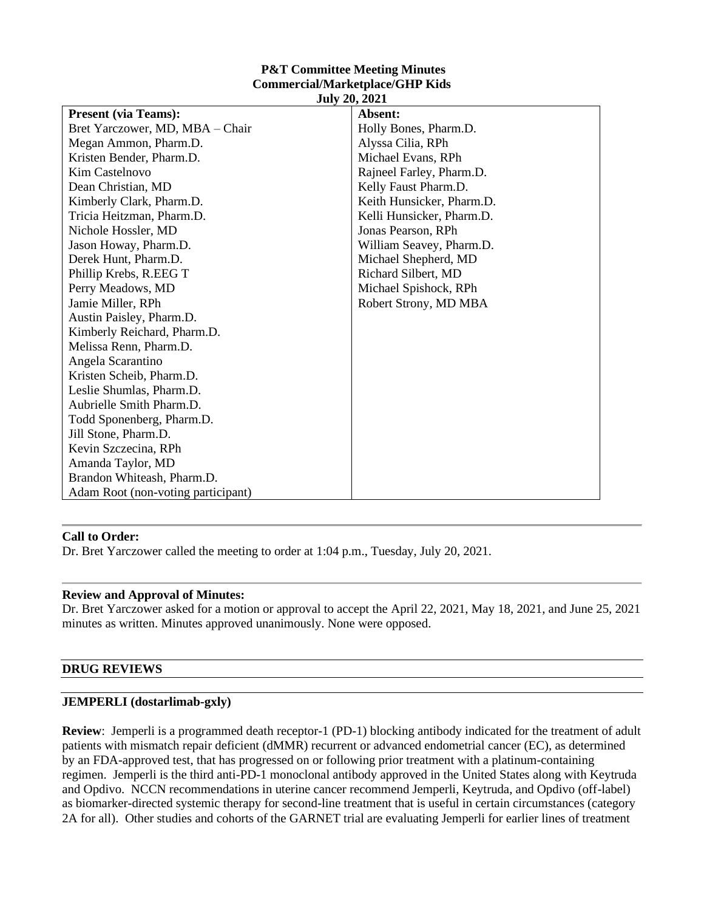| <b>P&amp;T Committee Meeting Minutes</b> |
|------------------------------------------|
| <b>Commercial/Marketplace/GHP Kids</b>   |
| <b>July 20, 2021</b>                     |

| <b>Present (via Teams):</b><br>Absent:<br>Bret Yarczower, MD, MBA - Chair<br>Holly Bones, Pharm.D.<br>Megan Ammon, Pharm.D.<br>Alyssa Cilia, RPh<br>Kristen Bender, Pharm.D.<br>Michael Evans, RPh<br><b>Kim Castelnovo</b><br>Rajneel Farley, Pharm.D.<br>Dean Christian, MD<br>Kelly Faust Pharm.D.<br>Keith Hunsicker, Pharm.D.<br>Kimberly Clark, Pharm.D.<br>Tricia Heitzman, Pharm.D.<br>Kelli Hunsicker, Pharm.D.<br>Nichole Hossler, MD<br>Jonas Pearson, RPh<br>Jason Howay, Pharm.D.<br>William Seavey, Pharm.D.<br>Derek Hunt, Pharm.D.<br>Michael Shepherd, MD<br>Phillip Krebs, R.EEG T<br>Richard Silbert, MD<br>Perry Meadows, MD<br>Michael Spishock, RPh<br>Robert Strony, MD MBA<br>Jamie Miller, RPh<br>Austin Paisley, Pharm.D.<br>Kimberly Reichard, Pharm.D.<br>Melissa Renn, Pharm.D.<br>Angela Scarantino<br>Kristen Scheib, Pharm.D.<br>Leslie Shumlas, Pharm.D.<br>Aubrielle Smith Pharm.D.<br>Todd Sponenberg, Pharm.D.<br>Jill Stone, Pharm.D.<br>Kevin Szczecina, RPh<br>Amanda Taylor, MD<br>Brandon Whiteash, Pharm.D.<br>Adam Root (non-voting participant) | $J^{\mu\nu}$ y 20, 2021 |  |
|---------------------------------------------------------------------------------------------------------------------------------------------------------------------------------------------------------------------------------------------------------------------------------------------------------------------------------------------------------------------------------------------------------------------------------------------------------------------------------------------------------------------------------------------------------------------------------------------------------------------------------------------------------------------------------------------------------------------------------------------------------------------------------------------------------------------------------------------------------------------------------------------------------------------------------------------------------------------------------------------------------------------------------------------------------------------------------------------|-------------------------|--|
|                                                                                                                                                                                                                                                                                                                                                                                                                                                                                                                                                                                                                                                                                                                                                                                                                                                                                                                                                                                                                                                                                             |                         |  |
|                                                                                                                                                                                                                                                                                                                                                                                                                                                                                                                                                                                                                                                                                                                                                                                                                                                                                                                                                                                                                                                                                             |                         |  |
|                                                                                                                                                                                                                                                                                                                                                                                                                                                                                                                                                                                                                                                                                                                                                                                                                                                                                                                                                                                                                                                                                             |                         |  |
|                                                                                                                                                                                                                                                                                                                                                                                                                                                                                                                                                                                                                                                                                                                                                                                                                                                                                                                                                                                                                                                                                             |                         |  |
|                                                                                                                                                                                                                                                                                                                                                                                                                                                                                                                                                                                                                                                                                                                                                                                                                                                                                                                                                                                                                                                                                             |                         |  |
|                                                                                                                                                                                                                                                                                                                                                                                                                                                                                                                                                                                                                                                                                                                                                                                                                                                                                                                                                                                                                                                                                             |                         |  |
|                                                                                                                                                                                                                                                                                                                                                                                                                                                                                                                                                                                                                                                                                                                                                                                                                                                                                                                                                                                                                                                                                             |                         |  |
|                                                                                                                                                                                                                                                                                                                                                                                                                                                                                                                                                                                                                                                                                                                                                                                                                                                                                                                                                                                                                                                                                             |                         |  |
|                                                                                                                                                                                                                                                                                                                                                                                                                                                                                                                                                                                                                                                                                                                                                                                                                                                                                                                                                                                                                                                                                             |                         |  |
|                                                                                                                                                                                                                                                                                                                                                                                                                                                                                                                                                                                                                                                                                                                                                                                                                                                                                                                                                                                                                                                                                             |                         |  |
|                                                                                                                                                                                                                                                                                                                                                                                                                                                                                                                                                                                                                                                                                                                                                                                                                                                                                                                                                                                                                                                                                             |                         |  |
|                                                                                                                                                                                                                                                                                                                                                                                                                                                                                                                                                                                                                                                                                                                                                                                                                                                                                                                                                                                                                                                                                             |                         |  |
|                                                                                                                                                                                                                                                                                                                                                                                                                                                                                                                                                                                                                                                                                                                                                                                                                                                                                                                                                                                                                                                                                             |                         |  |
|                                                                                                                                                                                                                                                                                                                                                                                                                                                                                                                                                                                                                                                                                                                                                                                                                                                                                                                                                                                                                                                                                             |                         |  |
|                                                                                                                                                                                                                                                                                                                                                                                                                                                                                                                                                                                                                                                                                                                                                                                                                                                                                                                                                                                                                                                                                             |                         |  |
|                                                                                                                                                                                                                                                                                                                                                                                                                                                                                                                                                                                                                                                                                                                                                                                                                                                                                                                                                                                                                                                                                             |                         |  |
|                                                                                                                                                                                                                                                                                                                                                                                                                                                                                                                                                                                                                                                                                                                                                                                                                                                                                                                                                                                                                                                                                             |                         |  |
|                                                                                                                                                                                                                                                                                                                                                                                                                                                                                                                                                                                                                                                                                                                                                                                                                                                                                                                                                                                                                                                                                             |                         |  |
|                                                                                                                                                                                                                                                                                                                                                                                                                                                                                                                                                                                                                                                                                                                                                                                                                                                                                                                                                                                                                                                                                             |                         |  |
|                                                                                                                                                                                                                                                                                                                                                                                                                                                                                                                                                                                                                                                                                                                                                                                                                                                                                                                                                                                                                                                                                             |                         |  |
|                                                                                                                                                                                                                                                                                                                                                                                                                                                                                                                                                                                                                                                                                                                                                                                                                                                                                                                                                                                                                                                                                             |                         |  |
|                                                                                                                                                                                                                                                                                                                                                                                                                                                                                                                                                                                                                                                                                                                                                                                                                                                                                                                                                                                                                                                                                             |                         |  |
|                                                                                                                                                                                                                                                                                                                                                                                                                                                                                                                                                                                                                                                                                                                                                                                                                                                                                                                                                                                                                                                                                             |                         |  |
|                                                                                                                                                                                                                                                                                                                                                                                                                                                                                                                                                                                                                                                                                                                                                                                                                                                                                                                                                                                                                                                                                             |                         |  |
|                                                                                                                                                                                                                                                                                                                                                                                                                                                                                                                                                                                                                                                                                                                                                                                                                                                                                                                                                                                                                                                                                             |                         |  |
|                                                                                                                                                                                                                                                                                                                                                                                                                                                                                                                                                                                                                                                                                                                                                                                                                                                                                                                                                                                                                                                                                             |                         |  |
|                                                                                                                                                                                                                                                                                                                                                                                                                                                                                                                                                                                                                                                                                                                                                                                                                                                                                                                                                                                                                                                                                             |                         |  |

#### **Call to Order:**

Dr. Bret Yarczower called the meeting to order at 1:04 p.m., Tuesday, July 20, 2021.

#### **Review and Approval of Minutes:**

Dr. Bret Yarczower asked for a motion or approval to accept the April 22, 2021, May 18, 2021, and June 25, 2021 minutes as written. Minutes approved unanimously. None were opposed.

#### **DRUG REVIEWS**

#### **JEMPERLI (dostarlimab-gxly)**

**Review**: Jemperli is a programmed death receptor-1 (PD-1) blocking antibody indicated for the treatment of adult patients with mismatch repair deficient (dMMR) recurrent or advanced endometrial cancer (EC), as determined by an FDA-approved test, that has progressed on or following prior treatment with a platinum-containing regimen. Jemperli is the third anti-PD-1 monoclonal antibody approved in the United States along with Keytruda and Opdivo. NCCN recommendations in uterine cancer recommend Jemperli, Keytruda, and Opdivo (off-label) as biomarker-directed systemic therapy for second-line treatment that is useful in certain circumstances (category 2A for all). Other studies and cohorts of the GARNET trial are evaluating Jemperli for earlier lines of treatment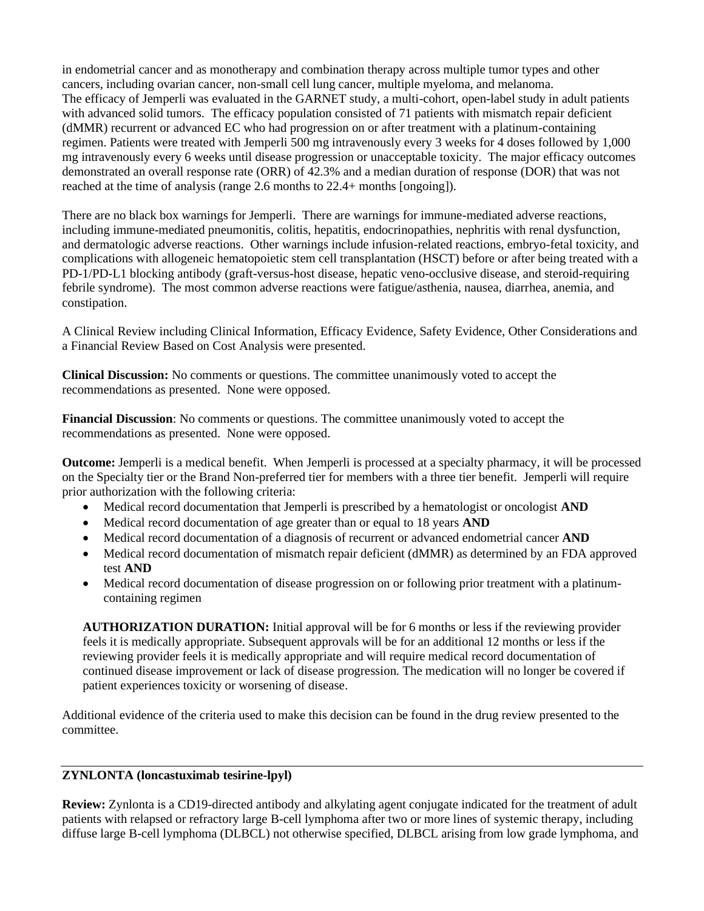in endometrial cancer and as monotherapy and combination therapy across multiple tumor types and other cancers, including ovarian cancer, non-small cell lung cancer, multiple myeloma, and melanoma. The efficacy of Jemperli was evaluated in the GARNET study, a multi-cohort, open-label study in adult patients with advanced solid tumors. The efficacy population consisted of 71 patients with mismatch repair deficient (dMMR) recurrent or advanced EC who had progression on or after treatment with a platinum-containing regimen. Patients were treated with Jemperli 500 mg intravenously every 3 weeks for 4 doses followed by 1,000 mg intravenously every 6 weeks until disease progression or unacceptable toxicity. The major efficacy outcomes demonstrated an overall response rate (ORR) of 42.3% and a median duration of response (DOR) that was not reached at the time of analysis (range 2.6 months to 22.4+ months [ongoing]).

There are no black box warnings for Jemperli. There are warnings for immune-mediated adverse reactions, including immune-mediated pneumonitis, colitis, hepatitis, endocrinopathies, nephritis with renal dysfunction, and dermatologic adverse reactions. Other warnings include infusion-related reactions, embryo-fetal toxicity, and complications with allogeneic hematopoietic stem cell transplantation (HSCT) before or after being treated with a PD-1/PD-L1 blocking antibody (graft-versus-host disease, hepatic veno-occlusive disease, and steroid-requiring febrile syndrome). The most common adverse reactions were fatigue/asthenia, nausea, diarrhea, anemia, and constipation.

A Clinical Review including Clinical Information, Efficacy Evidence, Safety Evidence, Other Considerations and a Financial Review Based on Cost Analysis were presented.

**Clinical Discussion:** No comments or questions. The committee unanimously voted to accept the recommendations as presented. None were opposed.

**Financial Discussion**: No comments or questions. The committee unanimously voted to accept the recommendations as presented. None were opposed.

**Outcome:** Jemperli is a medical benefit. When Jemperli is processed at a specialty pharmacy, it will be processed on the Specialty tier or the Brand Non-preferred tier for members with a three tier benefit. Jemperli will require prior authorization with the following criteria:

- Medical record documentation that Jemperli is prescribed by a hematologist or oncologist **AND**
- Medical record documentation of age greater than or equal to 18 years **AND**
- Medical record documentation of a diagnosis of recurrent or advanced endometrial cancer **AND**
- Medical record documentation of mismatch repair deficient (dMMR) as determined by an FDA approved test **AND**
- Medical record documentation of disease progression on or following prior treatment with a platinumcontaining regimen

**AUTHORIZATION DURATION:** Initial approval will be for 6 months or less if the reviewing provider feels it is medically appropriate. Subsequent approvals will be for an additional 12 months or less if the reviewing provider feels it is medically appropriate and will require medical record documentation of continued disease improvement or lack of disease progression. The medication will no longer be covered if patient experiences toxicity or worsening of disease.

Additional evidence of the criteria used to make this decision can be found in the drug review presented to the committee.

## **ZYNLONTA (loncastuximab tesirine-lpyl)**

**Review:** Zynlonta is a CD19-directed antibody and alkylating agent conjugate indicated for the treatment of adult patients with relapsed or refractory large B-cell lymphoma after two or more lines of systemic therapy, including diffuse large B-cell lymphoma (DLBCL) not otherwise specified, DLBCL arising from low grade lymphoma, and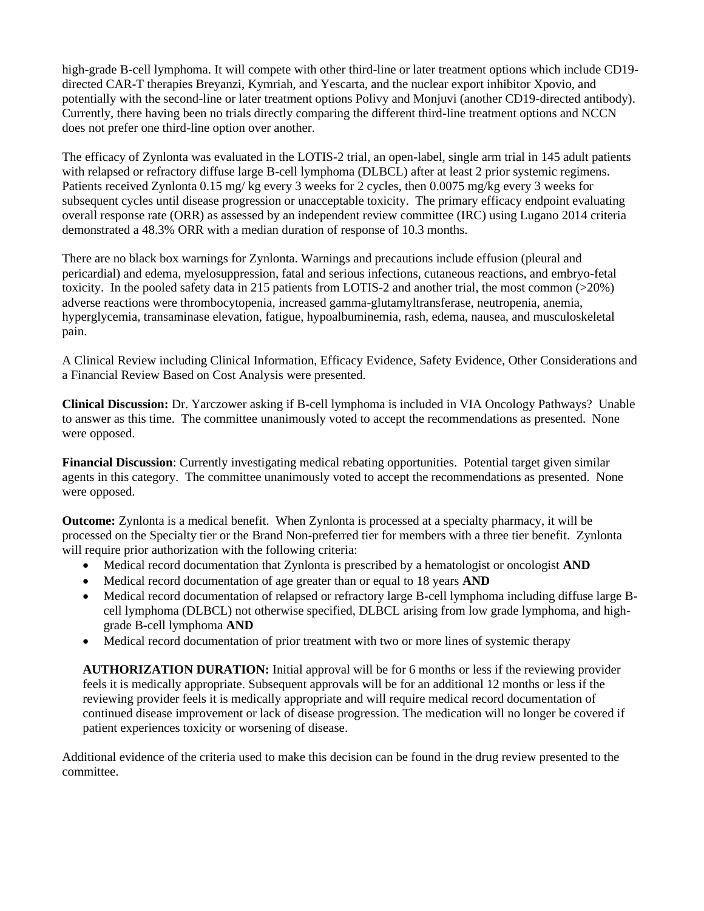high-grade B-cell lymphoma. It will compete with other third-line or later treatment options which include CD19 directed CAR-T therapies Breyanzi, Kymriah, and Yescarta, and the nuclear export inhibitor Xpovio, and potentially with the second-line or later treatment options Polivy and Monjuvi (another CD19-directed antibody). Currently, there having been no trials directly comparing the different third-line treatment options and NCCN does not prefer one third-line option over another.

The efficacy of Zynlonta was evaluated in the LOTIS-2 trial, an open-label, single arm trial in 145 adult patients with relapsed or refractory diffuse large B-cell lymphoma (DLBCL) after at least 2 prior systemic regimens. Patients received Zynlonta 0.15 mg/ kg every 3 weeks for 2 cycles, then 0.0075 mg/kg every 3 weeks for subsequent cycles until disease progression or unacceptable toxicity. The primary efficacy endpoint evaluating overall response rate (ORR) as assessed by an independent review committee (IRC) using Lugano 2014 criteria demonstrated a 48.3% ORR with a median duration of response of 10.3 months.

There are no black box warnings for Zynlonta. Warnings and precautions include effusion (pleural and pericardial) and edema, myelosuppression, fatal and serious infections, cutaneous reactions, and embryo-fetal toxicity. In the pooled safety data in 215 patients from LOTIS-2 and another trial, the most common (>20%) adverse reactions were thrombocytopenia, increased gamma-glutamyltransferase, neutropenia, anemia, hyperglycemia, transaminase elevation, fatigue, hypoalbuminemia, rash, edema, nausea, and musculoskeletal pain.

A Clinical Review including Clinical Information, Efficacy Evidence, Safety Evidence, Other Considerations and a Financial Review Based on Cost Analysis were presented.

**Clinical Discussion:** Dr. Yarczower asking if B-cell lymphoma is included in VIA Oncology Pathways? Unable to answer as this time. The committee unanimously voted to accept the recommendations as presented. None were opposed.

**Financial Discussion**: Currently investigating medical rebating opportunities. Potential target given similar agents in this category. The committee unanimously voted to accept the recommendations as presented. None were opposed.

**Outcome:** Zynlonta is a medical benefit. When Zynlonta is processed at a specialty pharmacy, it will be processed on the Specialty tier or the Brand Non-preferred tier for members with a three tier benefit. Zynlonta will require prior authorization with the following criteria:

- Medical record documentation that Zynlonta is prescribed by a hematologist or oncologist **AND**
- Medical record documentation of age greater than or equal to 18 years **AND**
- Medical record documentation of relapsed or refractory large B-cell lymphoma including diffuse large Bcell lymphoma (DLBCL) not otherwise specified, DLBCL arising from low grade lymphoma, and highgrade B-cell lymphoma **AND**
- Medical record documentation of prior treatment with two or more lines of systemic therapy

**AUTHORIZATION DURATION:** Initial approval will be for 6 months or less if the reviewing provider feels it is medically appropriate. Subsequent approvals will be for an additional 12 months or less if the reviewing provider feels it is medically appropriate and will require medical record documentation of continued disease improvement or lack of disease progression. The medication will no longer be covered if patient experiences toxicity or worsening of disease.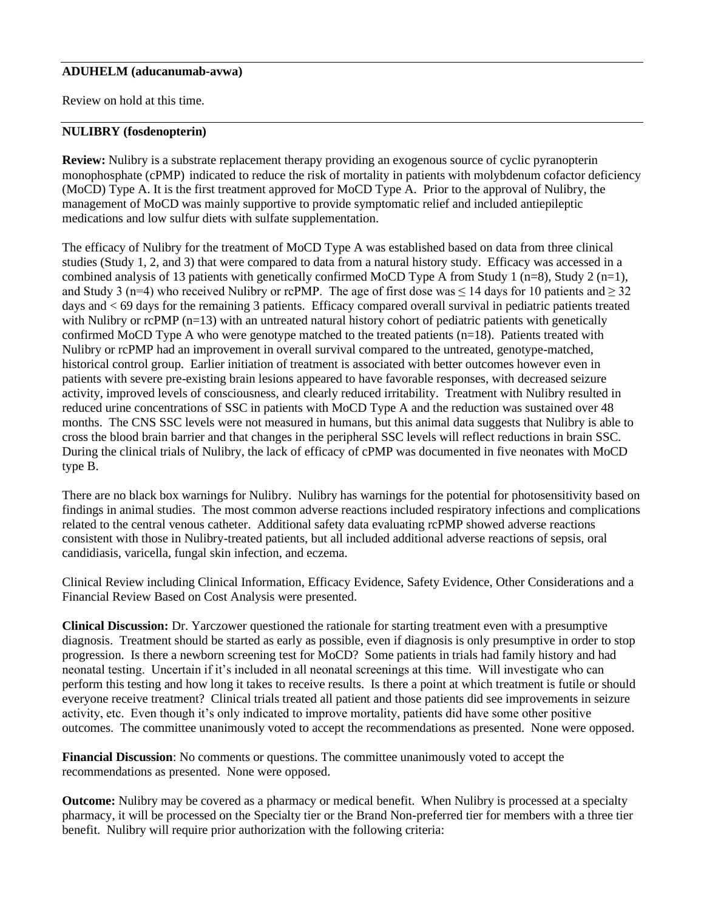### **ADUHELM (aducanumab-avwa)**

Review on hold at this time.

### **NULIBRY (fosdenopterin)**

**Review:** Nulibry is a substrate replacement therapy providing an exogenous source of cyclic pyranopterin monophosphate (cPMP) indicated to reduce the risk of mortality in patients with molybdenum cofactor deficiency (MoCD) Type A. It is the first treatment approved for MoCD Type A. Prior to the approval of Nulibry, the management of MoCD was mainly supportive to provide symptomatic relief and included antiepileptic medications and low sulfur diets with sulfate supplementation.

The efficacy of Nulibry for the treatment of MoCD Type A was established based on data from three clinical studies (Study 1, 2, and 3) that were compared to data from a natural history study. Efficacy was accessed in a combined analysis of 13 patients with genetically confirmed MoCD Type A from Study 1 (n=8), Study 2 (n=1), and Study 3 (n=4) who received Nulibry or rcPMP. The age of first dose was  $\leq 14$  days for 10 patients and  $\geq 32$ days and < 69 days for the remaining 3 patients. Efficacy compared overall survival in pediatric patients treated with Nulibry or rcPMP (n=13) with an untreated natural history cohort of pediatric patients with genetically confirmed MoCD Type A who were genotype matched to the treated patients (n=18). Patients treated with Nulibry or rcPMP had an improvement in overall survival compared to the untreated, genotype-matched, historical control group. Earlier initiation of treatment is associated with better outcomes however even in patients with severe pre-existing brain lesions appeared to have favorable responses, with decreased seizure activity, improved levels of consciousness, and clearly reduced irritability. Treatment with Nulibry resulted in reduced urine concentrations of SSC in patients with MoCD Type A and the reduction was sustained over 48 months. The CNS SSC levels were not measured in humans, but this animal data suggests that Nulibry is able to cross the blood brain barrier and that changes in the peripheral SSC levels will reflect reductions in brain SSC. During the clinical trials of Nulibry, the lack of efficacy of cPMP was documented in five neonates with MoCD type B.

There are no black box warnings for Nulibry. Nulibry has warnings for the potential for photosensitivity based on findings in animal studies. The most common adverse reactions included respiratory infections and complications related to the central venous catheter. Additional safety data evaluating rcPMP showed adverse reactions consistent with those in Nulibry-treated patients, but all included additional adverse reactions of sepsis, oral candidiasis, varicella, fungal skin infection, and eczema.

Clinical Review including Clinical Information, Efficacy Evidence, Safety Evidence, Other Considerations and a Financial Review Based on Cost Analysis were presented.

**Clinical Discussion:** Dr. Yarczower questioned the rationale for starting treatment even with a presumptive diagnosis. Treatment should be started as early as possible, even if diagnosis is only presumptive in order to stop progression. Is there a newborn screening test for MoCD? Some patients in trials had family history and had neonatal testing. Uncertain if it's included in all neonatal screenings at this time. Will investigate who can perform this testing and how long it takes to receive results. Is there a point at which treatment is futile or should everyone receive treatment? Clinical trials treated all patient and those patients did see improvements in seizure activity, etc. Even though it's only indicated to improve mortality, patients did have some other positive outcomes. The committee unanimously voted to accept the recommendations as presented. None were opposed.

**Financial Discussion**: No comments or questions. The committee unanimously voted to accept the recommendations as presented. None were opposed.

**Outcome:** Nulibry may be covered as a pharmacy or medical benefit. When Nulibry is processed at a specialty pharmacy, it will be processed on the Specialty tier or the Brand Non-preferred tier for members with a three tier benefit. Nulibry will require prior authorization with the following criteria: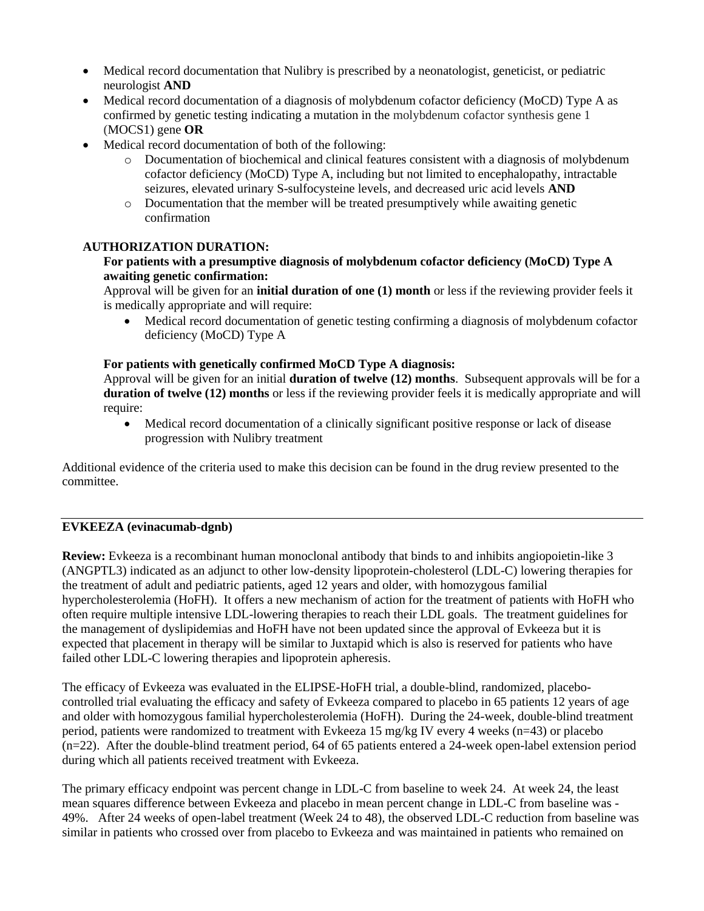- Medical record documentation that Nulibry is prescribed by a neonatologist, geneticist, or pediatric neurologist **AND**
- Medical record documentation of a diagnosis of molybdenum cofactor deficiency (MoCD) Type A as confirmed by genetic testing indicating a mutation in the molybdenum cofactor synthesis gene 1 (MOCS1) gene **OR**
- Medical record documentation of both of the following:
	- o Documentation of biochemical and clinical features consistent with a diagnosis of molybdenum cofactor deficiency (MoCD) Type A, including but not limited to encephalopathy, intractable seizures, elevated urinary S-sulfocysteine levels, and decreased uric acid levels **AND**
	- o Documentation that the member will be treated presumptively while awaiting genetic confirmation

# **AUTHORIZATION DURATION:**

# **For patients with a presumptive diagnosis of molybdenum cofactor deficiency (MoCD) Type A awaiting genetic confirmation:**

Approval will be given for an **initial duration of one (1) month** or less if the reviewing provider feels it is medically appropriate and will require:

• Medical record documentation of genetic testing confirming a diagnosis of molybdenum cofactor deficiency (MoCD) Type A

# **For patients with genetically confirmed MoCD Type A diagnosis:**

Approval will be given for an initial **duration of twelve (12) months**. Subsequent approvals will be for a **duration of twelve (12) months** or less if the reviewing provider feels it is medically appropriate and will require:

• Medical record documentation of a clinically significant positive response or lack of disease progression with Nulibry treatment

Additional evidence of the criteria used to make this decision can be found in the drug review presented to the committee.

# **EVKEEZA (evinacumab-dgnb)**

**Review:** Evkeeza is a recombinant human monoclonal antibody that binds to and inhibits angiopoietin-like 3 (ANGPTL3) indicated as an adjunct to other low-density lipoprotein-cholesterol (LDL-C) lowering therapies for the treatment of adult and pediatric patients, aged 12 years and older, with homozygous familial hypercholesterolemia (HoFH). It offers a new mechanism of action for the treatment of patients with HoFH who often require multiple intensive LDL-lowering therapies to reach their LDL goals. The treatment guidelines for the management of dyslipidemias and HoFH have not been updated since the approval of Evkeeza but it is expected that placement in therapy will be similar to Juxtapid which is also is reserved for patients who have failed other LDL-C lowering therapies and lipoprotein apheresis.

The efficacy of Evkeeza was evaluated in the ELIPSE-HoFH trial, a double-blind, randomized, placebocontrolled trial evaluating the efficacy and safety of Evkeeza compared to placebo in 65 patients 12 years of age and older with homozygous familial hypercholesterolemia (HoFH). During the 24-week, double-blind treatment period, patients were randomized to treatment with Evkeeza 15 mg/kg IV every 4 weeks (n=43) or placebo (n=22). After the double-blind treatment period, 64 of 65 patients entered a 24-week open-label extension period during which all patients received treatment with Evkeeza.

The primary efficacy endpoint was percent change in LDL-C from baseline to week 24. At week 24, the least mean squares difference between Evkeeza and placebo in mean percent change in LDL-C from baseline was - 49%. After 24 weeks of open-label treatment (Week 24 to 48), the observed LDL-C reduction from baseline was similar in patients who crossed over from placebo to Evkeeza and was maintained in patients who remained on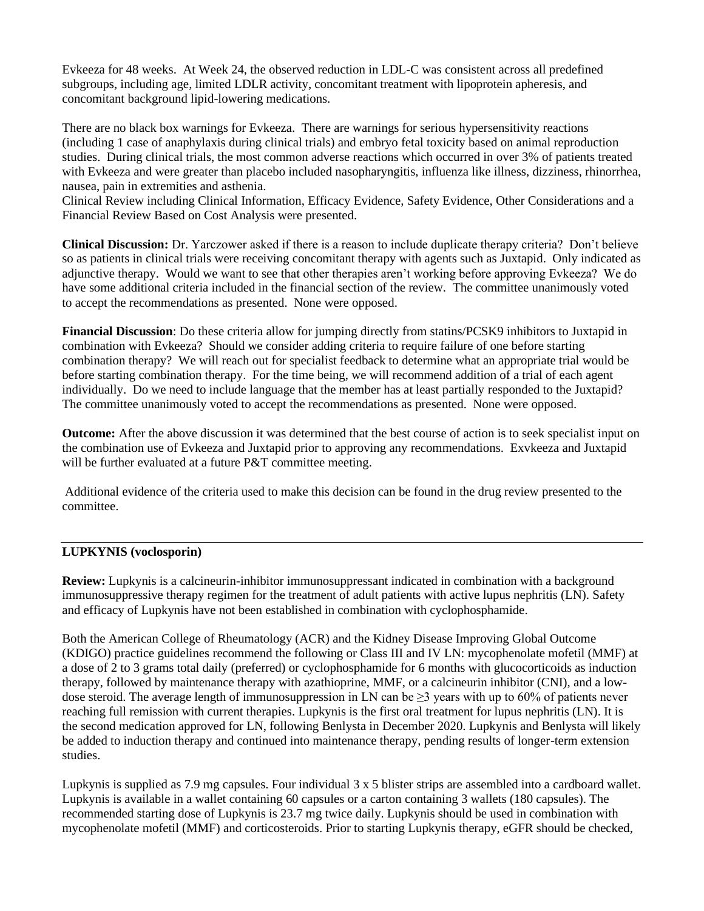Evkeeza for 48 weeks. At Week 24, the observed reduction in LDL-C was consistent across all predefined subgroups, including age, limited LDLR activity, concomitant treatment with lipoprotein apheresis, and concomitant background lipid-lowering medications.

There are no black box warnings for Evkeeza. There are warnings for serious hypersensitivity reactions (including 1 case of anaphylaxis during clinical trials) and embryo fetal toxicity based on animal reproduction studies. During clinical trials, the most common adverse reactions which occurred in over 3% of patients treated with Evkeeza and were greater than placebo included nasopharyngitis, influenza like illness, dizziness, rhinorrhea, nausea, pain in extremities and asthenia.

Clinical Review including Clinical Information, Efficacy Evidence, Safety Evidence, Other Considerations and a Financial Review Based on Cost Analysis were presented.

**Clinical Discussion:** Dr. Yarczower asked if there is a reason to include duplicate therapy criteria? Don't believe so as patients in clinical trials were receiving concomitant therapy with agents such as Juxtapid. Only indicated as adjunctive therapy. Would we want to see that other therapies aren't working before approving Evkeeza? We do have some additional criteria included in the financial section of the review. The committee unanimously voted to accept the recommendations as presented. None were opposed.

**Financial Discussion**: Do these criteria allow for jumping directly from statins/PCSK9 inhibitors to Juxtapid in combination with Evkeeza? Should we consider adding criteria to require failure of one before starting combination therapy? We will reach out for specialist feedback to determine what an appropriate trial would be before starting combination therapy. For the time being, we will recommend addition of a trial of each agent individually. Do we need to include language that the member has at least partially responded to the Juxtapid? The committee unanimously voted to accept the recommendations as presented. None were opposed.

**Outcome:** After the above discussion it was determined that the best course of action is to seek specialist input on the combination use of Evkeeza and Juxtapid prior to approving any recommendations. Exvkeeza and Juxtapid will be further evaluated at a future P&T committee meeting.

Additional evidence of the criteria used to make this decision can be found in the drug review presented to the committee.

## **LUPKYNIS (voclosporin)**

**Review:** Lupkynis is a calcineurin-inhibitor immunosuppressant indicated in combination with a background immunosuppressive therapy regimen for the treatment of adult patients with active lupus nephritis (LN). Safety and efficacy of Lupkynis have not been established in combination with cyclophosphamide.

Both the American College of Rheumatology (ACR) and the Kidney Disease Improving Global Outcome (KDIGO) practice guidelines recommend the following or Class III and IV LN: mycophenolate mofetil (MMF) at a dose of 2 to 3 grams total daily (preferred) or cyclophosphamide for 6 months with glucocorticoids as induction therapy, followed by maintenance therapy with azathioprine, MMF, or a calcineurin inhibitor (CNI), and a lowdose steroid. The average length of immunosuppression in LN can be  $\geq$ 3 years with up to 60% of patients never reaching full remission with current therapies. Lupkynis is the first oral treatment for lupus nephritis (LN). It is the second medication approved for LN, following Benlysta in December 2020. Lupkynis and Benlysta will likely be added to induction therapy and continued into maintenance therapy, pending results of longer-term extension studies.

Lupkynis is supplied as 7.9 mg capsules. Four individual 3 x 5 blister strips are assembled into a cardboard wallet. Lupkynis is available in a wallet containing 60 capsules or a carton containing 3 wallets (180 capsules). The recommended starting dose of Lupkynis is 23.7 mg twice daily. Lupkynis should be used in combination with mycophenolate mofetil (MMF) and corticosteroids. Prior to starting Lupkynis therapy, eGFR should be checked,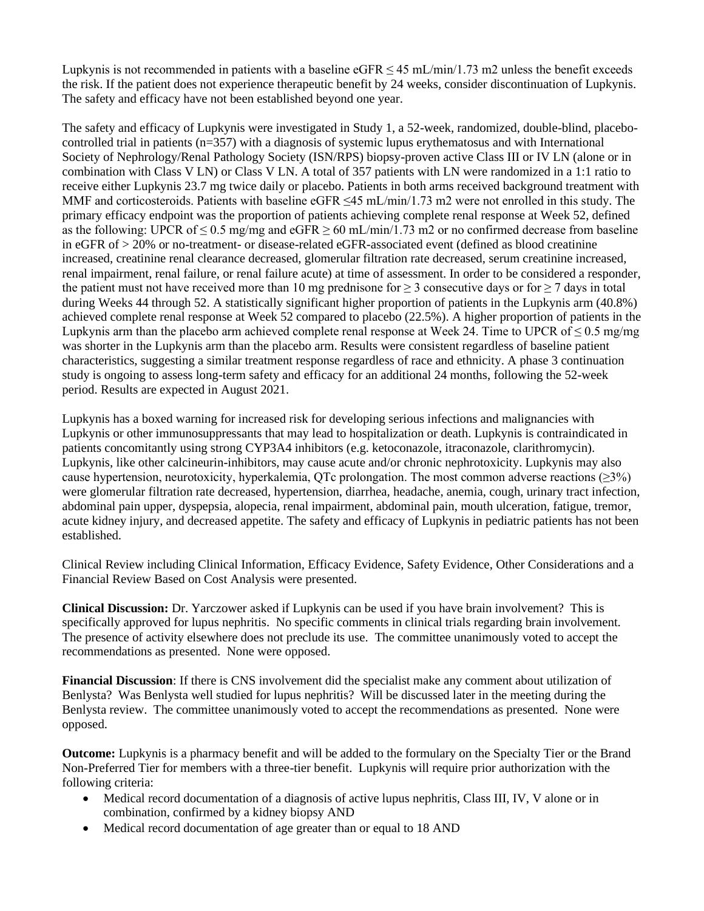Lupkynis is not recommended in patients with a baseline eGFR  $\leq$  45 mL/min/1.73 m2 unless the benefit exceeds the risk. If the patient does not experience therapeutic benefit by 24 weeks, consider discontinuation of Lupkynis. The safety and efficacy have not been established beyond one year.

The safety and efficacy of Lupkynis were investigated in Study 1, a 52-week, randomized, double-blind, placebocontrolled trial in patients (n=357) with a diagnosis of systemic lupus erythematosus and with International Society of Nephrology/Renal Pathology Society (ISN/RPS) biopsy-proven active Class III or IV LN (alone or in combination with Class V LN) or Class V LN. A total of 357 patients with LN were randomized in a 1:1 ratio to receive either Lupkynis 23.7 mg twice daily or placebo. Patients in both arms received background treatment with MMF and corticosteroids. Patients with baseline  $eGFR \le 45$  mL/min/1.73 m2 were not enrolled in this study. The primary efficacy endpoint was the proportion of patients achieving complete renal response at Week 52, defined as the following: UPCR of  $\leq 0.5$  mg/mg and eGFR  $\geq 60$  mL/min/1.73 m2 or no confirmed decrease from baseline in eGFR of > 20% or no-treatment- or disease-related eGFR-associated event (defined as blood creatinine increased, creatinine renal clearance decreased, glomerular filtration rate decreased, serum creatinine increased, renal impairment, renal failure, or renal failure acute) at time of assessment. In order to be considered a responder, the patient must not have received more than 10 mg prednisone for  $\geq$  3 consecutive days or for  $\geq$  7 days in total during Weeks 44 through 52. A statistically significant higher proportion of patients in the Lupkynis arm (40.8%) achieved complete renal response at Week 52 compared to placebo (22.5%). A higher proportion of patients in the Lupkynis arm than the placebo arm achieved complete renal response at Week 24. Time to UPCR of  $\leq 0.5$  mg/mg was shorter in the Lupkynis arm than the placebo arm. Results were consistent regardless of baseline patient characteristics, suggesting a similar treatment response regardless of race and ethnicity. A phase 3 continuation study is ongoing to assess long-term safety and efficacy for an additional 24 months, following the 52-week period. Results are expected in August 2021.

Lupkynis has a boxed warning for increased risk for developing serious infections and malignancies with Lupkynis or other immunosuppressants that may lead to hospitalization or death. Lupkynis is contraindicated in patients concomitantly using strong CYP3A4 inhibitors (e.g. ketoconazole, itraconazole, clarithromycin). Lupkynis, like other calcineurin-inhibitors, may cause acute and/or chronic nephrotoxicity. Lupkynis may also cause hypertension, neurotoxicity, hyperkalemia, QTc prolongation. The most common adverse reactions ( $\geq 3\%$ ) were glomerular filtration rate decreased, hypertension, diarrhea, headache, anemia, cough, urinary tract infection, abdominal pain upper, dyspepsia, alopecia, renal impairment, abdominal pain, mouth ulceration, fatigue, tremor, acute kidney injury, and decreased appetite. The safety and efficacy of Lupkynis in pediatric patients has not been established.

Clinical Review including Clinical Information, Efficacy Evidence, Safety Evidence, Other Considerations and a Financial Review Based on Cost Analysis were presented.

**Clinical Discussion:** Dr. Yarczower asked if Lupkynis can be used if you have brain involvement? This is specifically approved for lupus nephritis. No specific comments in clinical trials regarding brain involvement. The presence of activity elsewhere does not preclude its use. The committee unanimously voted to accept the recommendations as presented. None were opposed.

**Financial Discussion**: If there is CNS involvement did the specialist make any comment about utilization of Benlysta? Was Benlysta well studied for lupus nephritis? Will be discussed later in the meeting during the Benlysta review. The committee unanimously voted to accept the recommendations as presented. None were opposed.

**Outcome:** Lupkynis is a pharmacy benefit and will be added to the formulary on the Specialty Tier or the Brand Non-Preferred Tier for members with a three-tier benefit. Lupkynis will require prior authorization with the following criteria:

- Medical record documentation of a diagnosis of active lupus nephritis, Class III, IV, V alone or in combination, confirmed by a kidney biopsy AND
- Medical record documentation of age greater than or equal to 18 AND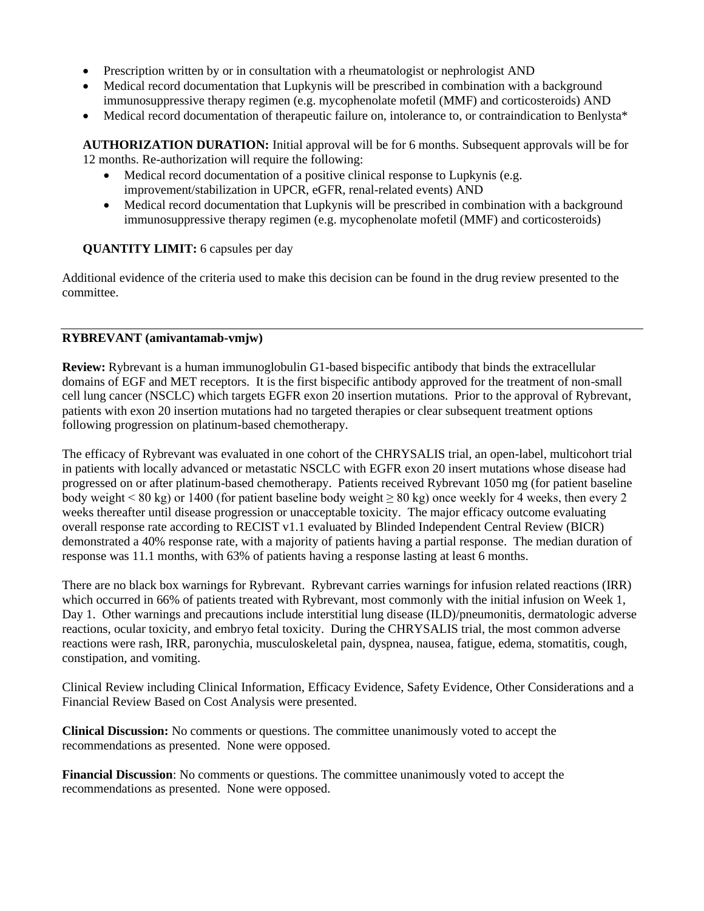- Prescription written by or in consultation with a rheumatologist or nephrologist AND
- Medical record documentation that Lupkynis will be prescribed in combination with a background immunosuppressive therapy regimen (e.g. mycophenolate mofetil (MMF) and corticosteroids) AND
- Medical record documentation of therapeutic failure on, intolerance to, or contraindication to Benlysta\*

**AUTHORIZATION DURATION:** Initial approval will be for 6 months. Subsequent approvals will be for 12 months. Re-authorization will require the following:

- Medical record documentation of a positive clinical response to Lupkynis (e.g. improvement/stabilization in UPCR, eGFR, renal-related events) AND
- Medical record documentation that Lupkynis will be prescribed in combination with a background immunosuppressive therapy regimen (e.g. mycophenolate mofetil (MMF) and corticosteroids)

# **QUANTITY LIMIT:** 6 capsules per day

Additional evidence of the criteria used to make this decision can be found in the drug review presented to the committee.

## **RYBREVANT (amivantamab-vmjw)**

**Review:** Rybrevant is a human immunoglobulin G1-based bispecific antibody that binds the extracellular domains of EGF and MET receptors. It is the first bispecific antibody approved for the treatment of non-small cell lung cancer (NSCLC) which targets EGFR exon 20 insertion mutations. Prior to the approval of Rybrevant, patients with exon 20 insertion mutations had no targeted therapies or clear subsequent treatment options following progression on platinum-based chemotherapy.

The efficacy of Rybrevant was evaluated in one cohort of the CHRYSALIS trial, an open-label, multicohort trial in patients with locally advanced or metastatic NSCLC with EGFR exon 20 insert mutations whose disease had progressed on or after platinum-based chemotherapy. Patients received Rybrevant 1050 mg (for patient baseline body weight < 80 kg) or 1400 (for patient baseline body weight  $\geq 80$  kg) once weekly for 4 weeks, then every 2 weeks thereafter until disease progression or unacceptable toxicity. The major efficacy outcome evaluating overall response rate according to RECIST v1.1 evaluated by Blinded Independent Central Review (BICR) demonstrated a 40% response rate, with a majority of patients having a partial response. The median duration of response was 11.1 months, with 63% of patients having a response lasting at least 6 months.

There are no black box warnings for Rybrevant. Rybrevant carries warnings for infusion related reactions (IRR) which occurred in 66% of patients treated with Rybrevant, most commonly with the initial infusion on Week 1, Day 1. Other warnings and precautions include interstitial lung disease (ILD)/pneumonitis, dermatologic adverse reactions, ocular toxicity, and embryo fetal toxicity. During the CHRYSALIS trial, the most common adverse reactions were rash, IRR, paronychia, musculoskeletal pain, dyspnea, nausea, fatigue, edema, stomatitis, cough, constipation, and vomiting.

Clinical Review including Clinical Information, Efficacy Evidence, Safety Evidence, Other Considerations and a Financial Review Based on Cost Analysis were presented.

**Clinical Discussion:** No comments or questions. The committee unanimously voted to accept the recommendations as presented. None were opposed.

**Financial Discussion**: No comments or questions. The committee unanimously voted to accept the recommendations as presented. None were opposed.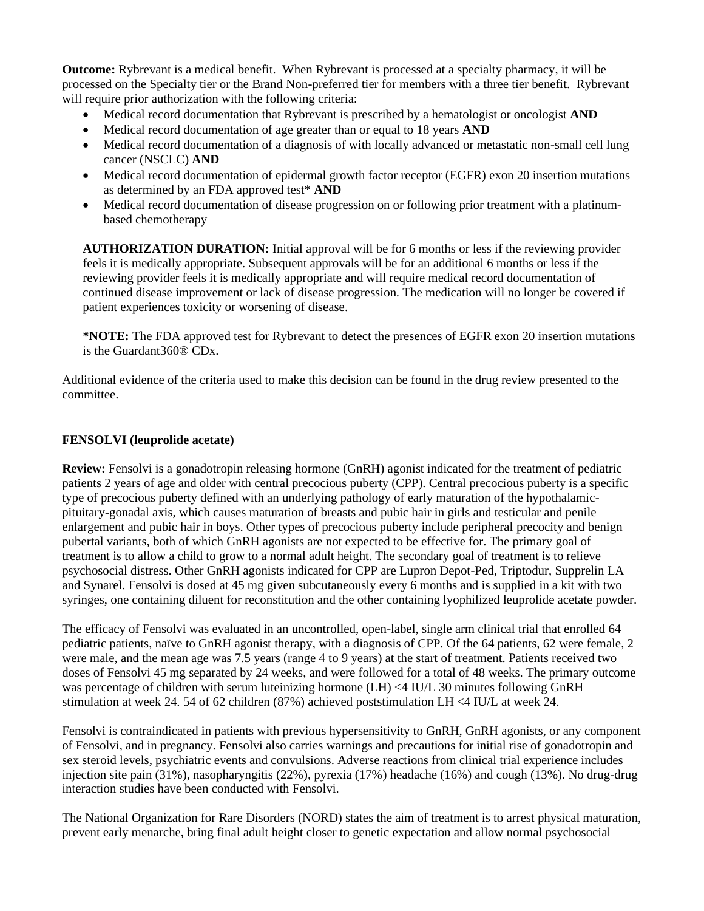**Outcome:** Rybrevant is a medical benefit. When Rybrevant is processed at a specialty pharmacy, it will be processed on the Specialty tier or the Brand Non-preferred tier for members with a three tier benefit. Rybrevant will require prior authorization with the following criteria:

- Medical record documentation that Rybrevant is prescribed by a hematologist or oncologist **AND**
- Medical record documentation of age greater than or equal to 18 years **AND**
- Medical record documentation of a diagnosis of with locally advanced or metastatic non-small cell lung cancer (NSCLC) **AND**
- Medical record documentation of epidermal growth factor receptor (EGFR) exon 20 insertion mutations as determined by an FDA approved test\* **AND**
- Medical record documentation of disease progression on or following prior treatment with a platinumbased chemotherapy

**AUTHORIZATION DURATION:** Initial approval will be for 6 months or less if the reviewing provider feels it is medically appropriate. Subsequent approvals will be for an additional 6 months or less if the reviewing provider feels it is medically appropriate and will require medical record documentation of continued disease improvement or lack of disease progression. The medication will no longer be covered if patient experiences toxicity or worsening of disease.

**\*NOTE:** The FDA approved test for Rybrevant to detect the presences of EGFR exon 20 insertion mutations is the Guardant360® CDx.

Additional evidence of the criteria used to make this decision can be found in the drug review presented to the committee.

## **FENSOLVI (leuprolide acetate)**

**Review:** Fensolvi is a gonadotropin releasing hormone (GnRH) agonist indicated for the treatment of pediatric patients 2 years of age and older with central precocious puberty (CPP). Central precocious puberty is a specific type of precocious puberty defined with an underlying pathology of early maturation of the hypothalamicpituitary-gonadal axis, which causes maturation of breasts and pubic hair in girls and testicular and penile enlargement and pubic hair in boys. Other types of precocious puberty include peripheral precocity and benign pubertal variants, both of which GnRH agonists are not expected to be effective for. The primary goal of treatment is to allow a child to grow to a normal adult height. The secondary goal of treatment is to relieve psychosocial distress. Other GnRH agonists indicated for CPP are Lupron Depot-Ped, Triptodur, Supprelin LA and Synarel. Fensolvi is dosed at 45 mg given subcutaneously every 6 months and is supplied in a kit with two syringes, one containing diluent for reconstitution and the other containing lyophilized leuprolide acetate powder.

The efficacy of Fensolvi was evaluated in an uncontrolled, open-label, single arm clinical trial that enrolled 64 pediatric patients, naïve to GnRH agonist therapy, with a diagnosis of CPP. Of the 64 patients, 62 were female, 2 were male, and the mean age was 7.5 years (range 4 to 9 years) at the start of treatment. Patients received two doses of Fensolvi 45 mg separated by 24 weeks, and were followed for a total of 48 weeks. The primary outcome was percentage of children with serum luteinizing hormone (LH) <4 IU/L 30 minutes following GnRH stimulation at week 24. 54 of 62 children (87%) achieved poststimulation LH <4 IU/L at week 24.

Fensolvi is contraindicated in patients with previous hypersensitivity to GnRH, GnRH agonists, or any component of Fensolvi, and in pregnancy. Fensolvi also carries warnings and precautions for initial rise of gonadotropin and sex steroid levels, psychiatric events and convulsions. Adverse reactions from clinical trial experience includes injection site pain (31%), nasopharyngitis (22%), pyrexia (17%) headache (16%) and cough (13%). No drug-drug interaction studies have been conducted with Fensolvi.

The National Organization for Rare Disorders (NORD) states the aim of treatment is to arrest physical maturation, prevent early menarche, bring final adult height closer to genetic expectation and allow normal psychosocial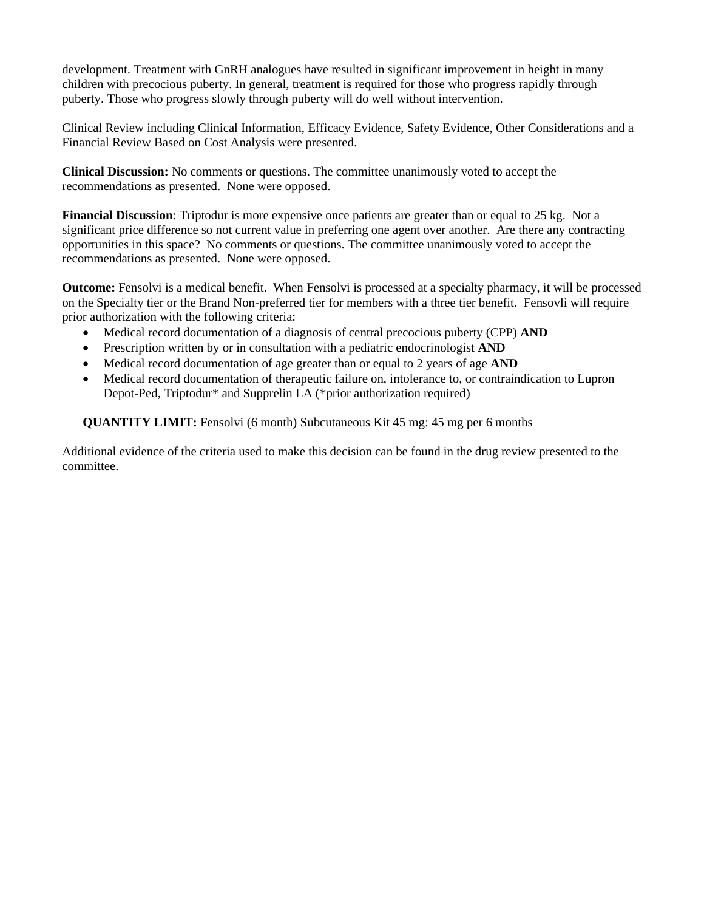development. Treatment with GnRH analogues have resulted in significant improvement in height in many children with precocious puberty. In general, treatment is required for those who progress rapidly through puberty. Those who progress slowly through puberty will do well without intervention.

Clinical Review including Clinical Information, Efficacy Evidence, Safety Evidence, Other Considerations and a Financial Review Based on Cost Analysis were presented.

**Clinical Discussion:** No comments or questions. The committee unanimously voted to accept the recommendations as presented. None were opposed.

**Financial Discussion**: Triptodur is more expensive once patients are greater than or equal to 25 kg. Not a significant price difference so not current value in preferring one agent over another. Are there any contracting opportunities in this space? No comments or questions. The committee unanimously voted to accept the recommendations as presented. None were opposed.

**Outcome:** Fensolvi is a medical benefit. When Fensolvi is processed at a specialty pharmacy, it will be processed on the Specialty tier or the Brand Non-preferred tier for members with a three tier benefit. Fensovli will require prior authorization with the following criteria:

- Medical record documentation of a diagnosis of central precocious puberty (CPP) **AND**
- Prescription written by or in consultation with a pediatric endocrinologist **AND**
- Medical record documentation of age greater than or equal to 2 years of age **AND**
- Medical record documentation of therapeutic failure on, intolerance to, or contraindication to Lupron Depot-Ped, Triptodur\* and Supprelin LA (\*prior authorization required)

**QUANTITY LIMIT:** Fensolvi (6 month) Subcutaneous Kit 45 mg: 45 mg per 6 months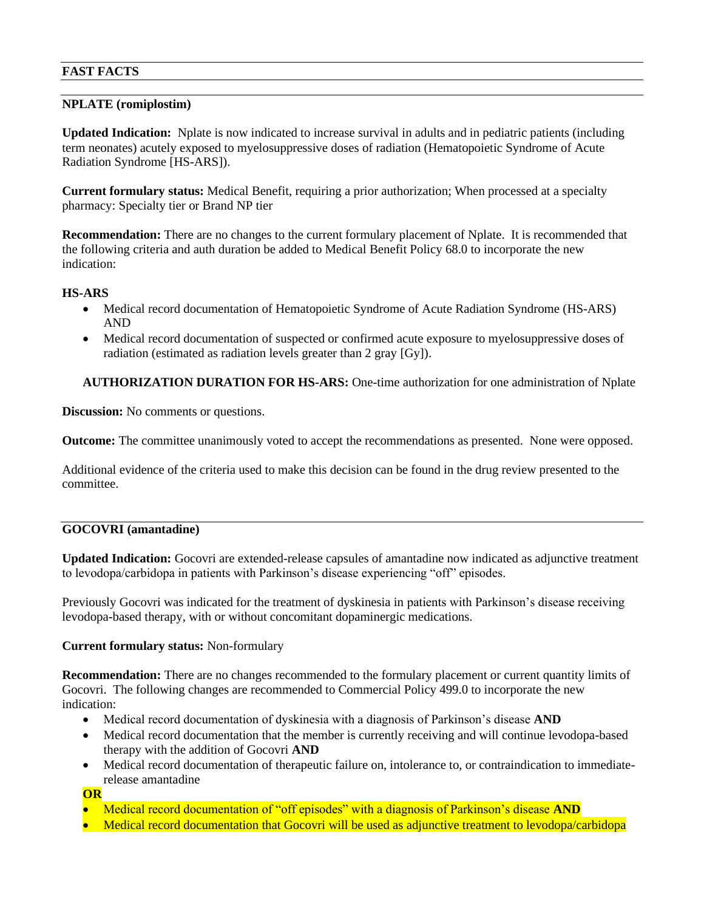## **FAST FACTS**

## **NPLATE (romiplostim)**

**Updated Indication:** Nplate is now indicated to increase survival in adults and in pediatric patients (including term neonates) acutely exposed to myelosuppressive doses of radiation (Hematopoietic Syndrome of Acute Radiation Syndrome [HS-ARS]).

**Current formulary status:** Medical Benefit, requiring a prior authorization; When processed at a specialty pharmacy: Specialty tier or Brand NP tier

**Recommendation:** There are no changes to the current formulary placement of Nplate. It is recommended that the following criteria and auth duration be added to Medical Benefit Policy 68.0 to incorporate the new indication:

# **HS-ARS**

- Medical record documentation of Hematopoietic Syndrome of Acute Radiation Syndrome (HS-ARS) AND
- Medical record documentation of suspected or confirmed acute exposure to myelosuppressive doses of radiation (estimated as radiation levels greater than 2 gray [Gy]).

# **AUTHORIZATION DURATION FOR HS-ARS:** One-time authorization for one administration of Nplate

**Discussion:** No comments or questions.

**Outcome:** The committee unanimously voted to accept the recommendations as presented. None were opposed.

Additional evidence of the criteria used to make this decision can be found in the drug review presented to the committee.

## **GOCOVRI (amantadine)**

**Updated Indication:** Gocovri are extended-release capsules of amantadine now indicated as adjunctive treatment to levodopa/carbidopa in patients with Parkinson's disease experiencing "off" episodes.

Previously Gocovri was indicated for the treatment of dyskinesia in patients with Parkinson's disease receiving levodopa-based therapy, with or without concomitant dopaminergic medications.

## **Current formulary status:** Non-formulary

**Recommendation:** There are no changes recommended to the formulary placement or current quantity limits of Gocovri. The following changes are recommended to Commercial Policy 499.0 to incorporate the new indication:

- Medical record documentation of dyskinesia with a diagnosis of Parkinson's disease **AND**
- Medical record documentation that the member is currently receiving and will continue levodopa-based therapy with the addition of Gocovri **AND**
- Medical record documentation of therapeutic failure on, intolerance to, or contraindication to immediaterelease amantadine

## **OR**

- Medical record documentation of "off episodes" with a diagnosis of Parkinson's disease **AND**
- Medical record documentation that Gocovri will be used as adjunctive treatment to levodopa/carbidopa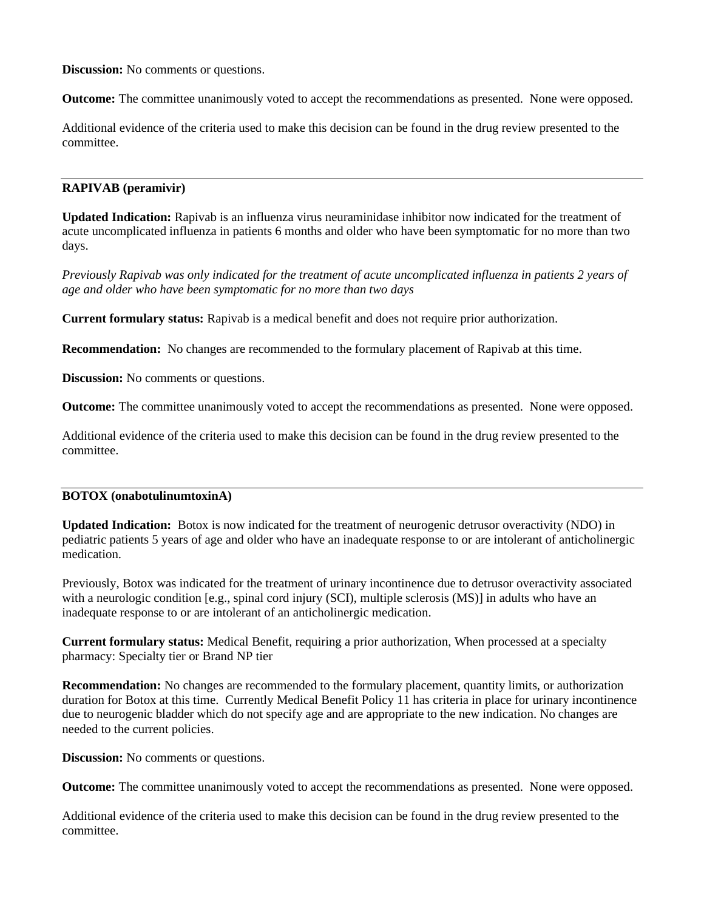**Discussion:** No comments or questions.

**Outcome:** The committee unanimously voted to accept the recommendations as presented. None were opposed.

Additional evidence of the criteria used to make this decision can be found in the drug review presented to the committee.

### **RAPIVAB (peramivir)**

**Updated Indication:** Rapivab is an influenza virus neuraminidase inhibitor now indicated for the treatment of acute uncomplicated influenza in patients 6 months and older who have been symptomatic for no more than two days.

*Previously Rapivab was only indicated for the treatment of acute uncomplicated influenza in patients 2 years of age and older who have been symptomatic for no more than two days*

**Current formulary status:** Rapivab is a medical benefit and does not require prior authorization.

**Recommendation:** No changes are recommended to the formulary placement of Rapivab at this time.

**Discussion:** No comments or questions.

**Outcome:** The committee unanimously voted to accept the recommendations as presented. None were opposed.

Additional evidence of the criteria used to make this decision can be found in the drug review presented to the committee.

## **BOTOX (onabotulinumtoxinA)**

**Updated Indication:** Botox is now indicated for the treatment of neurogenic detrusor overactivity (NDO) in pediatric patients 5 years of age and older who have an inadequate response to or are intolerant of anticholinergic medication.

Previously, Botox was indicated for the treatment of urinary incontinence due to detrusor overactivity associated with a neurologic condition [e.g., spinal cord injury (SCI), multiple sclerosis (MS)] in adults who have an inadequate response to or are intolerant of an anticholinergic medication.

**Current formulary status:** Medical Benefit, requiring a prior authorization, When processed at a specialty pharmacy: Specialty tier or Brand NP tier

**Recommendation:** No changes are recommended to the formulary placement, quantity limits, or authorization duration for Botox at this time. Currently Medical Benefit Policy 11 has criteria in place for urinary incontinence due to neurogenic bladder which do not specify age and are appropriate to the new indication. No changes are needed to the current policies.

**Discussion:** No comments or questions.

**Outcome:** The committee unanimously voted to accept the recommendations as presented. None were opposed.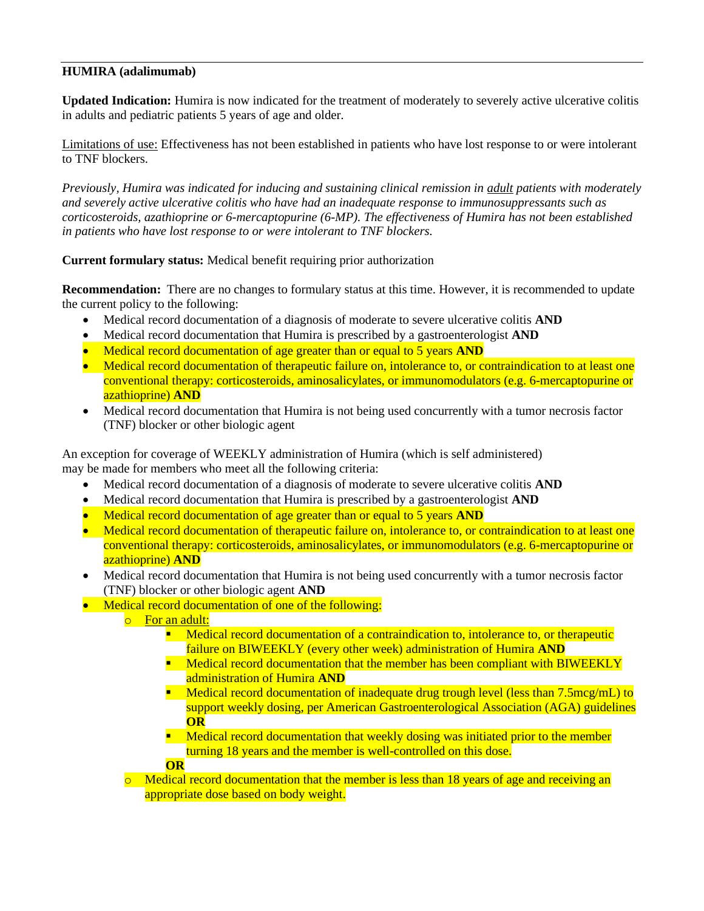# **HUMIRA (adalimumab)**

**Updated Indication:** Humira is now indicated for the treatment of moderately to severely active ulcerative colitis in adults and pediatric patients 5 years of age and older.

Limitations of use: Effectiveness has not been established in patients who have lost response to or were intolerant to TNF blockers.

*Previously, Humira was indicated for inducing and sustaining clinical remission in adult patients with moderately and severely active ulcerative colitis who have had an inadequate response to immunosuppressants such as corticosteroids, azathioprine or 6-mercaptopurine (6-MP). The effectiveness of Humira has not been established in patients who have lost response to or were intolerant to TNF blockers.* 

**Current formulary status:** Medical benefit requiring prior authorization

**Recommendation:** There are no changes to formulary status at this time. However, it is recommended to update the current policy to the following:

- Medical record documentation of a diagnosis of moderate to severe ulcerative colitis **AND**
- Medical record documentation that Humira is prescribed by a gastroenterologist **AND**
- Medical record documentation of age greater than or equal to 5 years **AND**
- Medical record documentation of therapeutic failure on, intolerance to, or contraindication to at least one conventional therapy: corticosteroids, aminosalicylates, or immunomodulators (e.g. 6-mercaptopurine or azathioprine) **AND**
- Medical record documentation that Humira is not being used concurrently with a tumor necrosis factor (TNF) blocker or other biologic agent

An exception for coverage of WEEKLY administration of Humira (which is self administered) may be made for members who meet all the following criteria:

- Medical record documentation of a diagnosis of moderate to severe ulcerative colitis **AND**
- Medical record documentation that Humira is prescribed by a gastroenterologist **AND**
- Medical record documentation of age greater than or equal to 5 years **AND**
- Medical record documentation of therapeutic failure on, intolerance to, or contraindication to at least one conventional therapy: corticosteroids, aminosalicylates, or immunomodulators (e.g. 6-mercaptopurine or azathioprine) **AND**
- Medical record documentation that Humira is not being used concurrently with a tumor necrosis factor (TNF) blocker or other biologic agent **AND**
- Medical record documentation of one of the following:
	- o For an adult:
		- **E** Medical record documentation of a contraindication to, intolerance to, or therapeutic failure on BIWEEKLY (every other week) administration of Humira **AND**
		- **E** Medical record documentation that the member has been compliant with BIWEEKLY administration of Humira **AND**
		- **EXECORDER** Medical record documentation of inadequate drug trough level (less than 7.5mcg/mL) to support weekly dosing, per American Gastroenterological Association (AGA) guidelines **OR**
		- **E** Medical record documentation that weekly dosing was initiated prior to the member turning 18 years and the member is well-controlled on this dose.

**OR**

 $\circ$  Medical record documentation that the member is less than 18 years of age and receiving an appropriate dose based on body weight.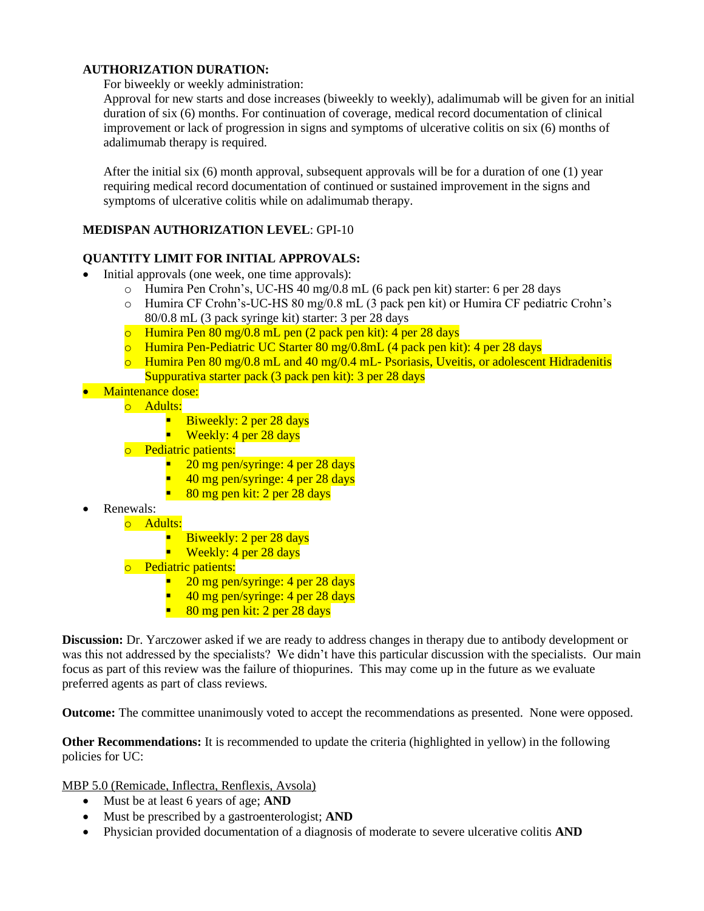# **AUTHORIZATION DURATION:**

For biweekly or weekly administration:

Approval for new starts and dose increases (biweekly to weekly), adalimumab will be given for an initial duration of six (6) months. For continuation of coverage, medical record documentation of clinical improvement or lack of progression in signs and symptoms of ulcerative colitis on six (6) months of adalimumab therapy is required.

After the initial six (6) month approval, subsequent approvals will be for a duration of one (1) year requiring medical record documentation of continued or sustained improvement in the signs and symptoms of ulcerative colitis while on adalimumab therapy.

# **MEDISPAN AUTHORIZATION LEVEL**: GPI-10

# **QUANTITY LIMIT FOR INITIAL APPROVALS:**

- Initial approvals (one week, one time approvals):
	- o Humira Pen Crohn's, UC-HS 40 mg/0.8 mL (6 pack pen kit) starter: 6 per 28 days
	- o Humira CF Crohn's-UC-HS 80 mg/0.8 mL (3 pack pen kit) or Humira CF pediatric Crohn's 80/0.8 mL (3 pack syringe kit) starter: 3 per 28 days
	- o Humira Pen 80 mg/0.8 mL pen (2 pack pen kit): 4 per 28 days
	- o Humira Pen-Pediatric UC Starter 80 mg/0.8mL (4 pack pen kit): 4 per 28 days
	- o Humira Pen 80 mg/0.8 mL and 40 mg/0.4 mL- Psoriasis, Uveitis, or adolescent Hidradenitis Suppurativa starter pack (3 pack pen kit): 3 per 28 days
- Maintenance dose:
	- o Adults:
		- Biweekly: 2 per 28 days
		- Weekly: 4 per 28 days
	- o Pediatric patients:
		- $\approx$  20 mg pen/syringe: 4 per 28 days
		- $\approx$  40 mg pen/syringe: 4 per 28 days
		- $\blacksquare$  80 mg pen kit: 2 per 28 days
- Renewals:
	- o Adults:
		- **E** Biweekly: 2 per 28 days
		- **Weekly:** 4 per 28 days
	- o Pediatric patients:
		- $\approx 20$  mg pen/syringe: 4 per 28 days
		- $\blacksquare$  40 mg pen/syringe: 4 per 28 days
		- $\blacksquare$  80 mg pen kit: 2 per 28 days

**Discussion:** Dr. Yarczower asked if we are ready to address changes in therapy due to antibody development or was this not addressed by the specialists? We didn't have this particular discussion with the specialists. Our main focus as part of this review was the failure of thiopurines. This may come up in the future as we evaluate preferred agents as part of class reviews.

**Outcome:** The committee unanimously voted to accept the recommendations as presented. None were opposed.

**Other Recommendations:** It is recommended to update the criteria (highlighted in yellow) in the following policies for UC:

MBP 5.0 (Remicade, Inflectra, Renflexis, Avsola)

- Must be at least 6 years of age; **AND**
- Must be prescribed by a gastroenterologist; **AND**
- Physician provided documentation of a diagnosis of moderate to severe ulcerative colitis **AND**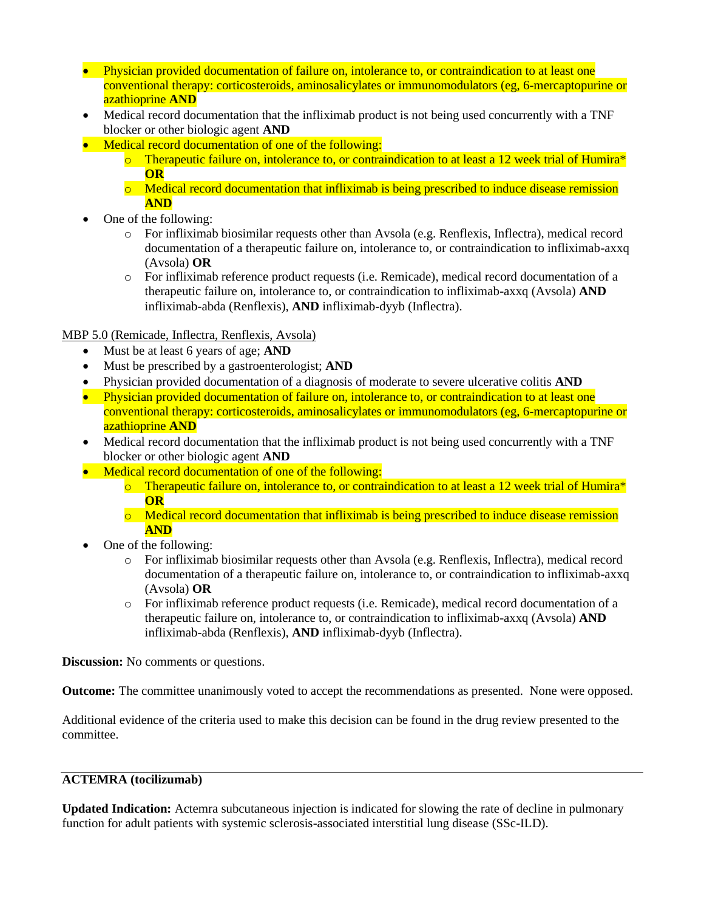- Physician provided documentation of failure on, intolerance to, or contraindication to at least one conventional therapy: corticosteroids, aminosalicylates or immunomodulators (eg, 6-mercaptopurine or azathioprine **AND**
- Medical record documentation that the infliximab product is not being used concurrently with a TNF blocker or other biologic agent **AND**
- Medical record documentation of one of the following:
	- $\circ$  Therapeutic failure on, intolerance to, or contraindication to at least a 12 week trial of Humira\* **OR**
	- $\circ$  Medical record documentation that infliximab is being prescribed to induce disease remission **AND**
- One of the following:
	- o For infliximab biosimilar requests other than Avsola (e.g. Renflexis, Inflectra), medical record documentation of a therapeutic failure on, intolerance to, or contraindication to infliximab-axxq (Avsola) **OR**
	- o For infliximab reference product requests (i.e. Remicade), medical record documentation of a therapeutic failure on, intolerance to, or contraindication to infliximab-axxq (Avsola) **AND** infliximab-abda (Renflexis), **AND** infliximab-dyyb (Inflectra).

MBP 5.0 (Remicade, Inflectra, Renflexis, Avsola)

- Must be at least 6 years of age; **AND**
- Must be prescribed by a gastroenterologist; **AND**
- Physician provided documentation of a diagnosis of moderate to severe ulcerative colitis **AND**
- Physician provided documentation of failure on, intolerance to, or contraindication to at least one conventional therapy: corticosteroids, aminosalicylates or immunomodulators (eg, 6-mercaptopurine or azathioprine **AND**
- Medical record documentation that the infliximab product is not being used concurrently with a TNF blocker or other biologic agent **AND**
- Medical record documentation of one of the following:
	- $\circ$  Therapeutic failure on, intolerance to, or contraindication to at least a 12 week trial of Humira<sup>\*</sup> **OR**
	- o Medical record documentation that infliximab is being prescribed to induce disease remission **AND**
- One of the following:
	- o For infliximab biosimilar requests other than Avsola (e.g. Renflexis, Inflectra), medical record documentation of a therapeutic failure on, intolerance to, or contraindication to infliximab-axxq (Avsola) **OR**
	- o For infliximab reference product requests (i.e. Remicade), medical record documentation of a therapeutic failure on, intolerance to, or contraindication to infliximab-axxq (Avsola) **AND** infliximab-abda (Renflexis), **AND** infliximab-dyyb (Inflectra).

**Discussion:** No comments or questions.

**Outcome:** The committee unanimously voted to accept the recommendations as presented. None were opposed.

Additional evidence of the criteria used to make this decision can be found in the drug review presented to the committee.

# **ACTEMRA (tocilizumab)**

**Updated Indication:** Actemra subcutaneous injection is indicated for slowing the rate of decline in pulmonary function for adult patients with systemic sclerosis-associated interstitial lung disease (SSc-ILD).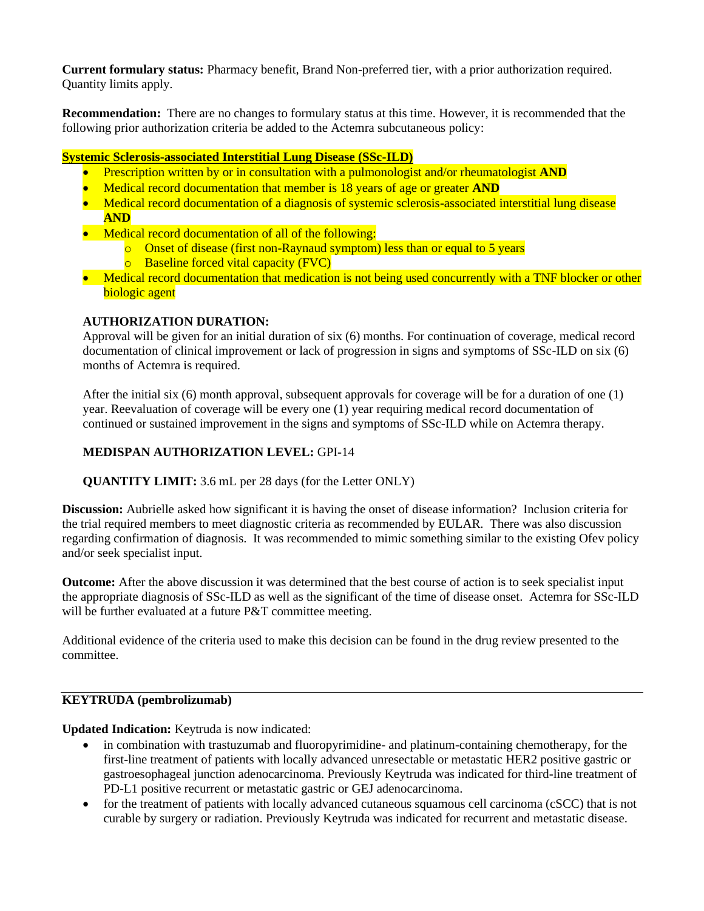**Current formulary status:** Pharmacy benefit, Brand Non-preferred tier, with a prior authorization required. Quantity limits apply.

**Recommendation:** There are no changes to formulary status at this time. However, it is recommended that the following prior authorization criteria be added to the Actemra subcutaneous policy:

### **Systemic Sclerosis-associated Interstitial Lung Disease (SSc-ILD)**

- Prescription written by or in consultation with a pulmonologist and/or rheumatologist **AND**
- Medical record documentation that member is 18 years of age or greater **AND**
- Medical record documentation of a diagnosis of systemic sclerosis-associated interstitial lung disease **AND**
- Medical record documentation of all of the following:
	- $\circ$  Onset of disease (first non-Raynaud symptom) less than or equal to 5 years
	- o Baseline forced vital capacity (FVC)
- Medical record documentation that medication is not being used concurrently with a TNF blocker or other biologic agent

### **AUTHORIZATION DURATION:**

Approval will be given for an initial duration of six (6) months. For continuation of coverage, medical record documentation of clinical improvement or lack of progression in signs and symptoms of SSc-ILD on six (6) months of Actemra is required.

After the initial six (6) month approval, subsequent approvals for coverage will be for a duration of one (1) year. Reevaluation of coverage will be every one (1) year requiring medical record documentation of continued or sustained improvement in the signs and symptoms of SSc-ILD while on Actemra therapy.

## **MEDISPAN AUTHORIZATION LEVEL:** GPI-14

**QUANTITY LIMIT:** 3.6 mL per 28 days (for the Letter ONLY)

**Discussion:** Aubrielle asked how significant it is having the onset of disease information? Inclusion criteria for the trial required members to meet diagnostic criteria as recommended by EULAR. There was also discussion regarding confirmation of diagnosis. It was recommended to mimic something similar to the existing Ofev policy and/or seek specialist input.

**Outcome:** After the above discussion it was determined that the best course of action is to seek specialist input the appropriate diagnosis of SSc-ILD as well as the significant of the time of disease onset. Actemra for SSc-ILD will be further evaluated at a future P&T committee meeting.

Additional evidence of the criteria used to make this decision can be found in the drug review presented to the committee.

#### **KEYTRUDA (pembrolizumab)**

**Updated Indication:** Keytruda is now indicated:

- in combination with trastuzumab and fluoropyrimidine- and platinum-containing chemotherapy, for the first-line treatment of patients with locally advanced unresectable or metastatic HER2 positive gastric or gastroesophageal junction adenocarcinoma. Previously Keytruda was indicated for third-line treatment of PD-L1 positive recurrent or metastatic gastric or GEJ adenocarcinoma.
- for the treatment of patients with locally advanced cutaneous squamous cell carcinoma (cSCC) that is not curable by surgery or radiation. Previously Keytruda was indicated for recurrent and metastatic disease.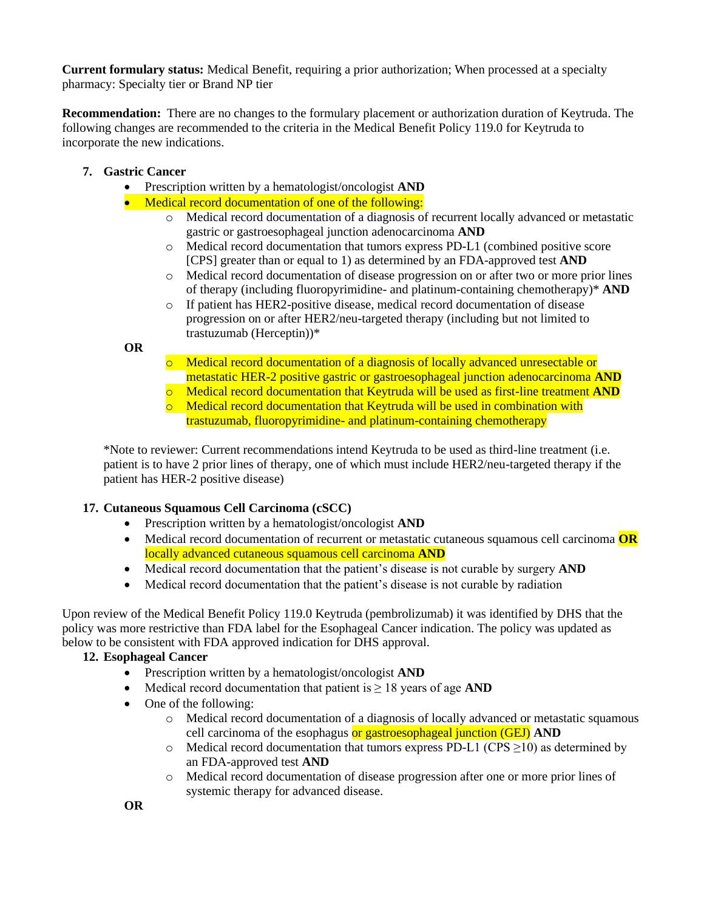**Current formulary status:** Medical Benefit, requiring a prior authorization; When processed at a specialty pharmacy: Specialty tier or Brand NP tier

**Recommendation:** There are no changes to the formulary placement or authorization duration of Keytruda. The following changes are recommended to the criteria in the Medical Benefit Policy 119.0 for Keytruda to incorporate the new indications.

- **7. Gastric Cancer** 
	- Prescription written by a hematologist/oncologist **AND**
	- Medical record documentation of one of the following:
		- o Medical record documentation of a diagnosis of recurrent locally advanced or metastatic gastric or gastroesophageal junction adenocarcinoma **AND**
		- o Medical record documentation that tumors express PD-L1 (combined positive score [CPS] greater than or equal to 1) as determined by an FDA-approved test **AND**
		- o Medical record documentation of disease progression on or after two or more prior lines of therapy (including fluoropyrimidine- and platinum-containing chemotherapy)\* **AND**
		- o If patient has HER2-positive disease, medical record documentation of disease progression on or after HER2/neu-targeted therapy (including but not limited to trastuzumab (Herceptin))\*

**OR** 

- o Medical record documentation of a diagnosis of locally advanced unresectable or metastatic HER-2 positive gastric or gastroesophageal junction adenocarcinoma **AND**
- o Medical record documentation that Keytruda will be used as first-line treatment **AND**
- $\circ$  Medical record documentation that Keytruda will be used in combination with trastuzumab, fluoropyrimidine- and platinum-containing chemotherapy

\*Note to reviewer: Current recommendations intend Keytruda to be used as third-line treatment (i.e. patient is to have 2 prior lines of therapy, one of which must include HER2/neu-targeted therapy if the patient has HER-2 positive disease)

## **17. Cutaneous Squamous Cell Carcinoma (cSCC)**

- Prescription written by a hematologist/oncologist **AND**
- Medical record documentation of recurrent or metastatic cutaneous squamous cell carcinoma **OR** locally advanced cutaneous squamous cell carcinoma **AND**
- Medical record documentation that the patient's disease is not curable by surgery **AND**
- Medical record documentation that the patient's disease is not curable by radiation

Upon review of the Medical Benefit Policy 119.0 Keytruda (pembrolizumab) it was identified by DHS that the policy was more restrictive than FDA label for the Esophageal Cancer indication. The policy was updated as below to be consistent with FDA approved indication for DHS approval.

## **12. Esophageal Cancer**

- Prescription written by a hematologist/oncologist **AND**
- Medical record documentation that patient is ≥ 18 years of age **AND**
- One of the following:
	- o Medical record documentation of a diagnosis of locally advanced or metastatic squamous cell carcinoma of the esophagus or gastroesophageal junction (GEJ) **AND**
	- $\circ$  Medical record documentation that tumors express PD-L1 (CPS  $\geq$ 10) as determined by an FDA-approved test **AND**
	- o Medical record documentation of disease progression after one or more prior lines of systemic therapy for advanced disease.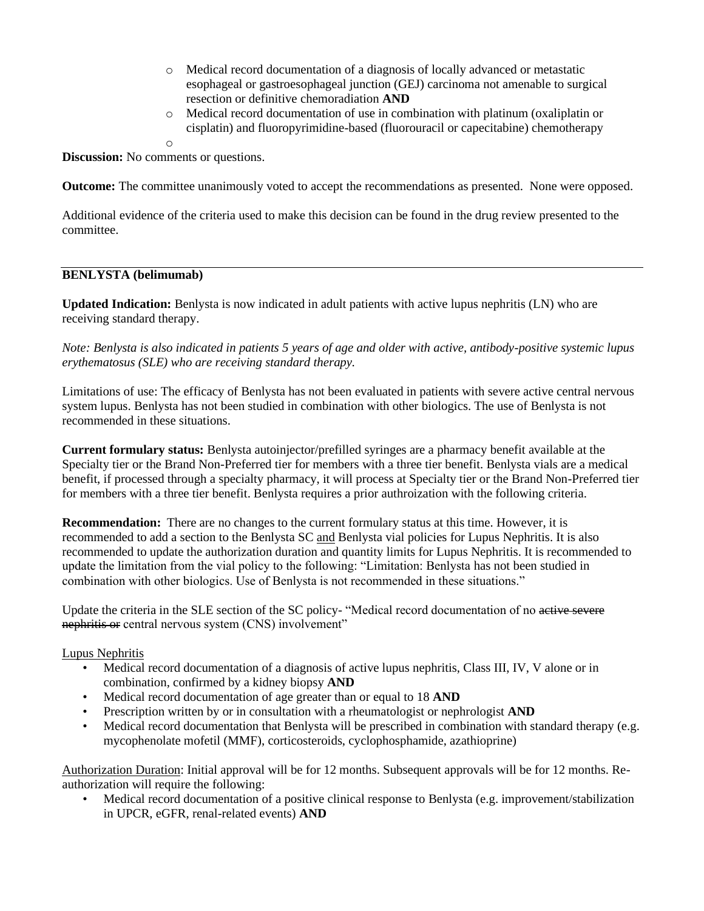- o Medical record documentation of a diagnosis of locally advanced or metastatic esophageal or gastroesophageal junction (GEJ) carcinoma not amenable to surgical resection or definitive chemoradiation **AND**
- o Medical record documentation of use in combination with platinum (oxaliplatin or cisplatin) and fluoropyrimidine-based (fluorouracil or capecitabine) chemotherapy

o

**Discussion:** No comments or questions.

**Outcome:** The committee unanimously voted to accept the recommendations as presented. None were opposed.

Additional evidence of the criteria used to make this decision can be found in the drug review presented to the committee.

# **BENLYSTA (belimumab)**

**Updated Indication:** Benlysta is now indicated in adult patients with active lupus nephritis (LN) who are receiving standard therapy.

*Note: Benlysta is also indicated in patients 5 years of age and older with active, antibody-positive systemic lupus erythematosus (SLE) who are receiving standard therapy.* 

Limitations of use: The efficacy of Benlysta has not been evaluated in patients with severe active central nervous system lupus. Benlysta has not been studied in combination with other biologics. The use of Benlysta is not recommended in these situations.

**Current formulary status:** Benlysta autoinjector/prefilled syringes are a pharmacy benefit available at the Specialty tier or the Brand Non-Preferred tier for members with a three tier benefit. Benlysta vials are a medical benefit, if processed through a specialty pharmacy, it will process at Specialty tier or the Brand Non-Preferred tier for members with a three tier benefit. Benlysta requires a prior authroization with the following criteria.

**Recommendation:** There are no changes to the current formulary status at this time. However, it is recommended to add a section to the Benlysta SC and Benlysta vial policies for Lupus Nephritis. It is also recommended to update the authorization duration and quantity limits for Lupus Nephritis. It is recommended to update the limitation from the vial policy to the following: "Limitation: Benlysta has not been studied in combination with other biologics. Use of Benlysta is not recommended in these situations."

Update the criteria in the SLE section of the SC policy- "Medical record documentation of no active severe nephritis or central nervous system (CNS) involvement"

## Lupus Nephritis

- Medical record documentation of a diagnosis of active lupus nephritis, Class III, IV, V alone or in combination, confirmed by a kidney biopsy **AND**
- Medical record documentation of age greater than or equal to 18 **AND**
- Prescription written by or in consultation with a rheumatologist or nephrologist **AND**
- Medical record documentation that Benlysta will be prescribed in combination with standard therapy (e.g. mycophenolate mofetil (MMF), corticosteroids, cyclophosphamide, azathioprine)

Authorization Duration: Initial approval will be for 12 months. Subsequent approvals will be for 12 months. Reauthorization will require the following:

• Medical record documentation of a positive clinical response to Benlysta (e.g. improvement/stabilization in UPCR, eGFR, renal-related events) **AND**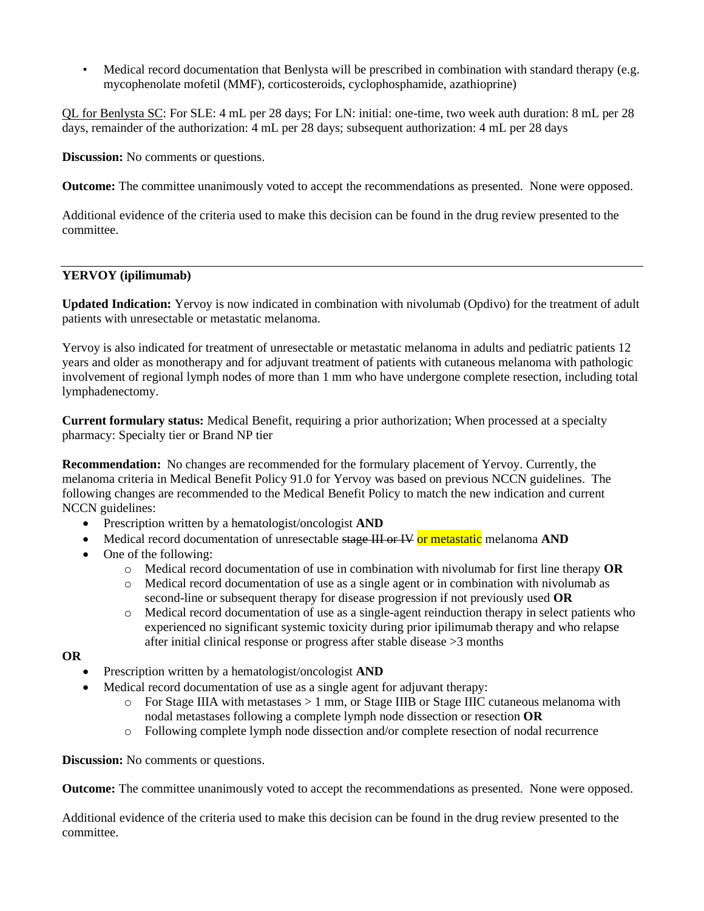• Medical record documentation that Benlysta will be prescribed in combination with standard therapy (e.g. mycophenolate mofetil (MMF), corticosteroids, cyclophosphamide, azathioprine)

QL for Benlysta SC: For SLE: 4 mL per 28 days; For LN: initial: one-time, two week auth duration: 8 mL per 28 days, remainder of the authorization: 4 mL per 28 days; subsequent authorization: 4 mL per 28 days

**Discussion:** No comments or questions.

**Outcome:** The committee unanimously voted to accept the recommendations as presented. None were opposed.

Additional evidence of the criteria used to make this decision can be found in the drug review presented to the committee.

## **YERVOY (ipilimumab)**

**Updated Indication:** Yervoy is now indicated in combination with nivolumab (Opdivo) for the treatment of adult patients with unresectable or metastatic melanoma.

Yervoy is also indicated for treatment of unresectable or metastatic melanoma in adults and pediatric patients 12 years and older as monotherapy and for adjuvant treatment of patients with cutaneous melanoma with pathologic involvement of regional lymph nodes of more than 1 mm who have undergone complete resection, including total lymphadenectomy.

**Current formulary status:** Medical Benefit, requiring a prior authorization; When processed at a specialty pharmacy: Specialty tier or Brand NP tier

**Recommendation:** No changes are recommended for the formulary placement of Yervoy. Currently, the melanoma criteria in Medical Benefit Policy 91.0 for Yervoy was based on previous NCCN guidelines. The following changes are recommended to the Medical Benefit Policy to match the new indication and current NCCN guidelines:

- Prescription written by a hematologist/oncologist **AND**
- Medical record documentation of unresectable stage III or IV or metastatic melanoma AND
- One of the following:
	- o Medical record documentation of use in combination with nivolumab for first line therapy **OR**
	- o Medical record documentation of use as a single agent or in combination with nivolumab as second-line or subsequent therapy for disease progression if not previously used **OR**
	- o Medical record documentation of use as a single-agent reinduction therapy in select patients who experienced no significant systemic toxicity during prior ipilimumab therapy and who relapse after initial clinical response or progress after stable disease >3 months

#### **OR**

- Prescription written by a hematologist/oncologist **AND**
- Medical record documentation of use as a single agent for adjuvant therapy:
	- $\circ$  For Stage IIIA with metastases  $> 1$  mm, or Stage IIIB or Stage IIIC cutaneous melanoma with nodal metastases following a complete lymph node dissection or resection **OR**
	- o Following complete lymph node dissection and/or complete resection of nodal recurrence

**Discussion:** No comments or questions.

**Outcome:** The committee unanimously voted to accept the recommendations as presented. None were opposed.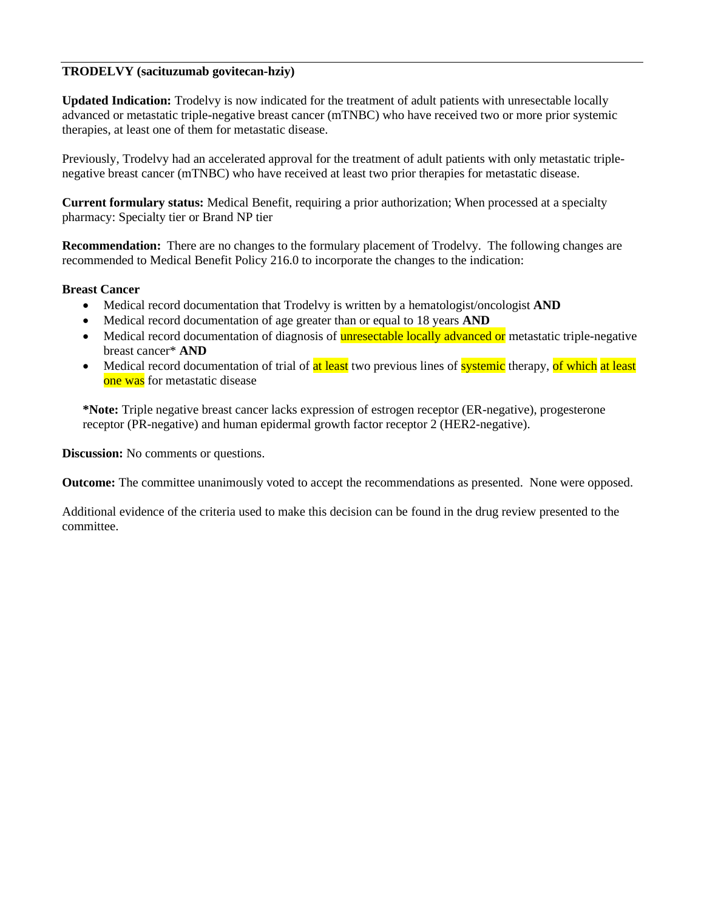## **TRODELVY (sacituzumab govitecan-hziy)**

**Updated Indication:** Trodelvy is now indicated for the treatment of adult patients with unresectable locally advanced or metastatic triple-negative breast cancer (mTNBC) who have received two or more prior systemic therapies, at least one of them for metastatic disease.

Previously, Trodelvy had an accelerated approval for the treatment of adult patients with only metastatic triplenegative breast cancer (mTNBC) who have received at least two prior therapies for metastatic disease.

**Current formulary status:** Medical Benefit, requiring a prior authorization; When processed at a specialty pharmacy: Specialty tier or Brand NP tier

**Recommendation:** There are no changes to the formulary placement of Trodelvy. The following changes are recommended to Medical Benefit Policy 216.0 to incorporate the changes to the indication:

### **Breast Cancer**

- Medical record documentation that Trodelvy is written by a hematologist/oncologist **AND**
- Medical record documentation of age greater than or equal to 18 years **AND**
- Medical record documentation of diagnosis of **unresectable locally advanced or** metastatic triple-negative breast cancer\* **AND**
- Medical record documentation of trial of at least two previous lines of systemic therapy, of which at least one was for metastatic disease

**\*Note:** Triple negative breast cancer lacks expression of estrogen receptor (ER-negative), progesterone receptor (PR-negative) and human epidermal growth factor receptor 2 (HER2-negative).

**Discussion:** No comments or questions.

**Outcome:** The committee unanimously voted to accept the recommendations as presented. None were opposed.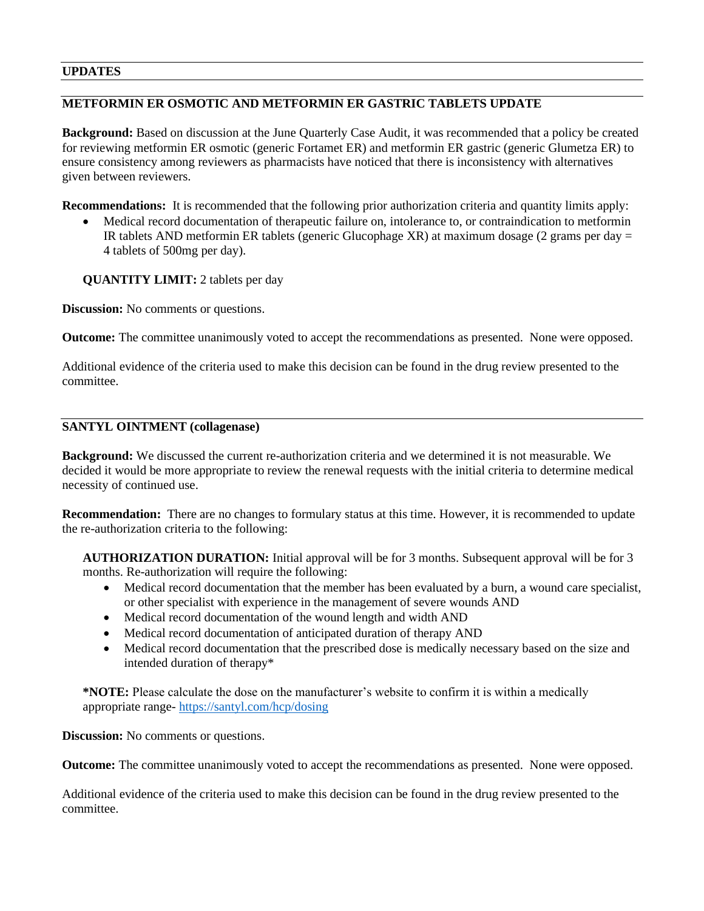### **UPDATES**

# **METFORMIN ER OSMOTIC AND METFORMIN ER GASTRIC TABLETS UPDATE**

**Background:** Based on discussion at the June Quarterly Case Audit, it was recommended that a policy be created for reviewing metformin ER osmotic (generic Fortamet ER) and metformin ER gastric (generic Glumetza ER) to ensure consistency among reviewers as pharmacists have noticed that there is inconsistency with alternatives given between reviewers.

**Recommendations:** It is recommended that the following prior authorization criteria and quantity limits apply:

• Medical record documentation of therapeutic failure on, intolerance to, or contraindication to metformin IR tablets AND metformin ER tablets (generic Glucophage XR) at maximum dosage (2 grams per day = 4 tablets of 500mg per day).

**QUANTITY LIMIT:** 2 tablets per day

**Discussion:** No comments or questions.

**Outcome:** The committee unanimously voted to accept the recommendations as presented. None were opposed.

Additional evidence of the criteria used to make this decision can be found in the drug review presented to the committee.

## **SANTYL OINTMENT (collagenase)**

**Background:** We discussed the current re-authorization criteria and we determined it is not measurable. We decided it would be more appropriate to review the renewal requests with the initial criteria to determine medical necessity of continued use.

**Recommendation:** There are no changes to formulary status at this time. However, it is recommended to update the re-authorization criteria to the following:

**AUTHORIZATION DURATION:** Initial approval will be for 3 months. Subsequent approval will be for 3 months. Re-authorization will require the following:

- Medical record documentation that the member has been evaluated by a burn, a wound care specialist, or other specialist with experience in the management of severe wounds AND
- Medical record documentation of the wound length and width AND
- Medical record documentation of anticipated duration of therapy AND
- Medical record documentation that the prescribed dose is medically necessary based on the size and intended duration of therapy\*

**\*NOTE:** Please calculate the dose on the manufacturer's website to confirm it is within a medically appropriate range- <https://santyl.com/hcp/dosing>

**Discussion:** No comments or questions.

**Outcome:** The committee unanimously voted to accept the recommendations as presented. None were opposed.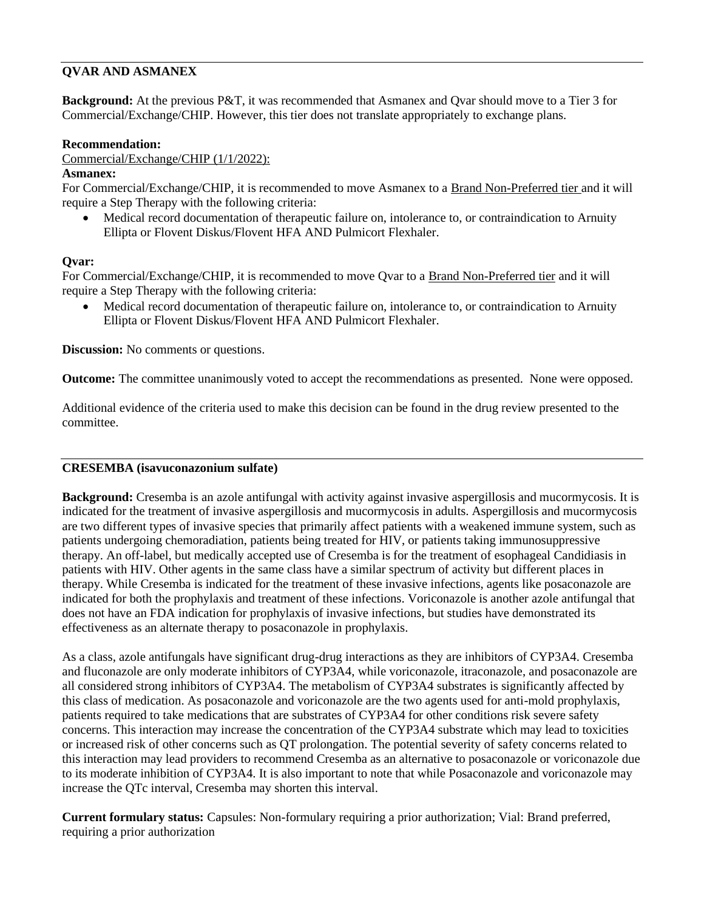# **QVAR AND ASMANEX**

**Background:** At the previous P&T, it was recommended that Asmanex and Qvar should move to a Tier 3 for Commercial/Exchange/CHIP. However, this tier does not translate appropriately to exchange plans.

### **Recommendation:**

Commercial/Exchange/CHIP (1/1/2022):

### **Asmanex:**

For Commercial/Exchange/CHIP, it is recommended to move Asmanex to a Brand Non-Preferred tier and it will require a Step Therapy with the following criteria:

• Medical record documentation of therapeutic failure on, intolerance to, or contraindication to Arnuity Ellipta or Flovent Diskus/Flovent HFA AND Pulmicort Flexhaler.

### **Qvar:**

For Commercial/Exchange/CHIP, it is recommended to move Qvar to a Brand Non-Preferred tier and it will require a Step Therapy with the following criteria:

• Medical record documentation of therapeutic failure on, intolerance to, or contraindication to Arnuity Ellipta or Flovent Diskus/Flovent HFA AND Pulmicort Flexhaler.

**Discussion:** No comments or questions.

**Outcome:** The committee unanimously voted to accept the recommendations as presented. None were opposed.

Additional evidence of the criteria used to make this decision can be found in the drug review presented to the committee.

## **CRESEMBA (isavuconazonium sulfate)**

**Background:** Cresemba is an azole antifungal with activity against invasive aspergillosis and mucormycosis. It is indicated for the treatment of invasive aspergillosis and mucormycosis in adults. Aspergillosis and mucormycosis are two different types of invasive species that primarily affect patients with a weakened immune system, such as patients undergoing chemoradiation, patients being treated for HIV, or patients taking immunosuppressive therapy. An off-label, but medically accepted use of Cresemba is for the treatment of esophageal Candidiasis in patients with HIV. Other agents in the same class have a similar spectrum of activity but different places in therapy. While Cresemba is indicated for the treatment of these invasive infections, agents like posaconazole are indicated for both the prophylaxis and treatment of these infections. Voriconazole is another azole antifungal that does not have an FDA indication for prophylaxis of invasive infections, but studies have demonstrated its effectiveness as an alternate therapy to posaconazole in prophylaxis.

As a class, azole antifungals have significant drug-drug interactions as they are inhibitors of CYP3A4. Cresemba and fluconazole are only moderate inhibitors of CYP3A4, while voriconazole, itraconazole, and posaconazole are all considered strong inhibitors of CYP3A4. The metabolism of CYP3A4 substrates is significantly affected by this class of medication. As posaconazole and voriconazole are the two agents used for anti-mold prophylaxis, patients required to take medications that are substrates of CYP3A4 for other conditions risk severe safety concerns. This interaction may increase the concentration of the CYP3A4 substrate which may lead to toxicities or increased risk of other concerns such as QT prolongation. The potential severity of safety concerns related to this interaction may lead providers to recommend Cresemba as an alternative to posaconazole or voriconazole due to its moderate inhibition of CYP3A4. It is also important to note that while Posaconazole and voriconazole may increase the QTc interval, Cresemba may shorten this interval.

**Current formulary status:** Capsules: Non-formulary requiring a prior authorization; Vial: Brand preferred, requiring a prior authorization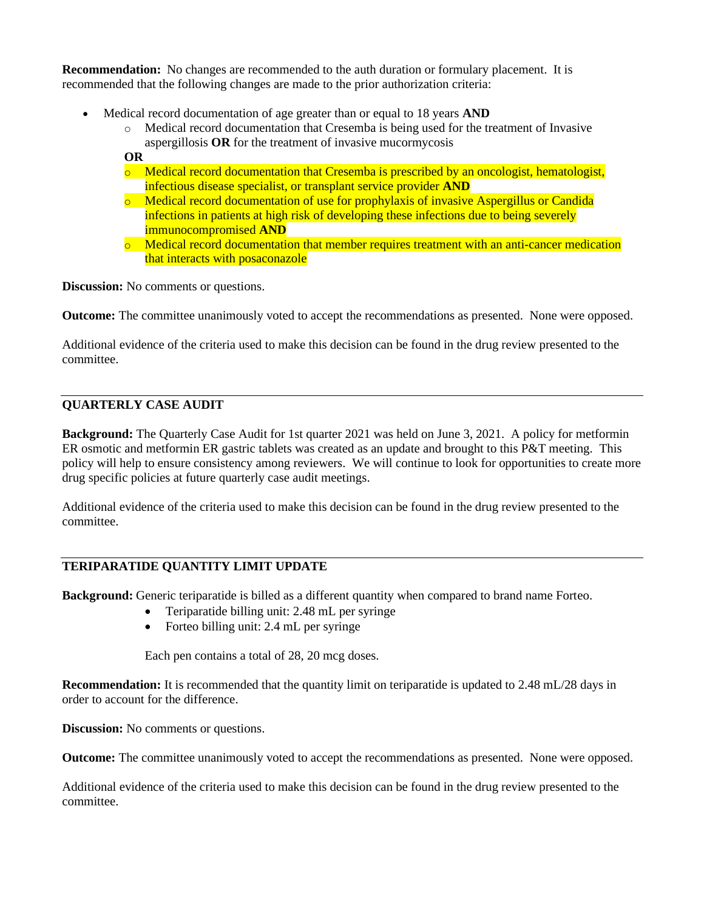**Recommendation:** No changes are recommended to the auth duration or formulary placement. It is recommended that the following changes are made to the prior authorization criteria:

- Medical record documentation of age greater than or equal to 18 years **AND**
	- o Medical record documentation that Cresemba is being used for the treatment of Invasive aspergillosis **OR** for the treatment of invasive mucormycosis
	- **OR**  $\circ$  Medical record documentation that Cresemba is prescribed by an oncologist, hematologist, infectious disease specialist, or transplant service provider **AND**  $\circ$  Medical record documentation of use for prophylaxis of invasive Aspergillus or Candida
	- infections in patients at high risk of developing these infections due to being severely immunocompromised **AND**
	- $\circ$  Medical record documentation that member requires treatment with an anti-cancer medication that interacts with posaconazole

**Discussion:** No comments or questions.

**Outcome:** The committee unanimously voted to accept the recommendations as presented. None were opposed.

Additional evidence of the criteria used to make this decision can be found in the drug review presented to the committee.

# **QUARTERLY CASE AUDIT**

**Background:** The Quarterly Case Audit for 1st quarter 2021 was held on June 3, 2021. A policy for metformin ER osmotic and metformin ER gastric tablets was created as an update and brought to this P&T meeting. This policy will help to ensure consistency among reviewers. We will continue to look for opportunities to create more drug specific policies at future quarterly case audit meetings.

Additional evidence of the criteria used to make this decision can be found in the drug review presented to the committee.

# **TERIPARATIDE QUANTITY LIMIT UPDATE**

**Background:** Generic teriparatide is billed as a different quantity when compared to brand name Forteo.

- Teriparatide billing unit: 2.48 mL per syringe
- Forteo billing unit: 2.4 mL per syringe

Each pen contains a total of 28, 20 mcg doses.

**Recommendation:** It is recommended that the quantity limit on teriparatide is updated to 2.48 mL/28 days in order to account for the difference.

**Discussion:** No comments or questions.

**Outcome:** The committee unanimously voted to accept the recommendations as presented. None were opposed.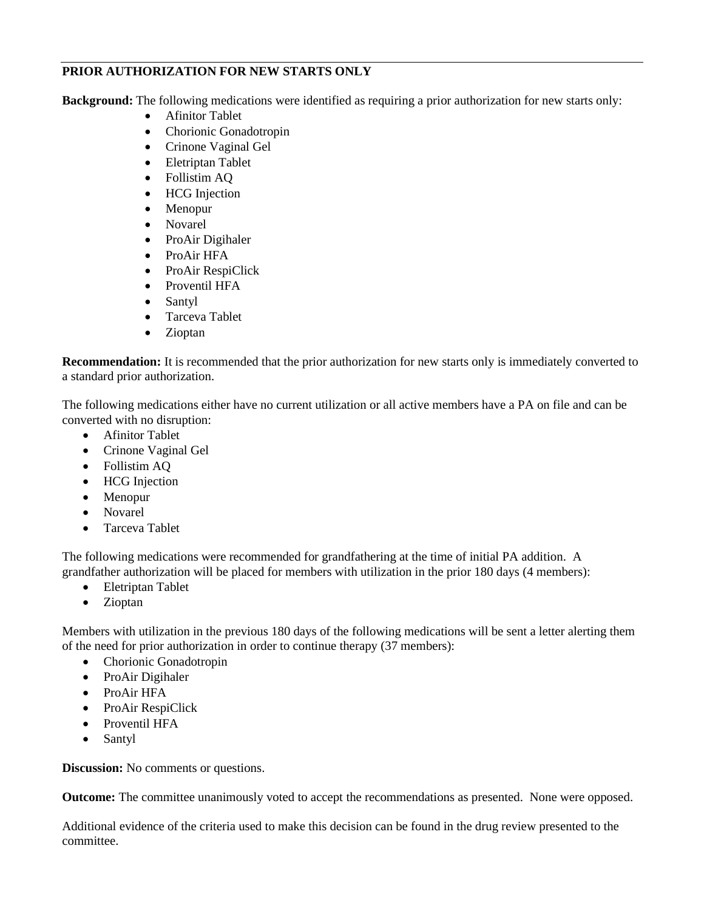# **PRIOR AUTHORIZATION FOR NEW STARTS ONLY**

**Background:** The following medications were identified as requiring a prior authorization for new starts only:

- Afinitor Tablet
- Chorionic Gonadotropin
- Crinone Vaginal Gel
- Eletriptan Tablet
- Follistim AQ
- HCG Injection
- Menopur
- Novarel
- ProAir Digihaler
- ProAir HFA
- ProAir RespiClick
- Proventil HFA
- Santyl
- Tarceva Tablet
- Zioptan

**Recommendation:** It is recommended that the prior authorization for new starts only is immediately converted to a standard prior authorization.

The following medications either have no current utilization or all active members have a PA on file and can be converted with no disruption:

- Afinitor Tablet
- Crinone Vaginal Gel
- Follistim AQ
- HCG Injection
- Menopur
- Novarel
- Tarceva Tablet

The following medications were recommended for grandfathering at the time of initial PA addition. A grandfather authorization will be placed for members with utilization in the prior 180 days (4 members):

- Eletriptan Tablet
- Zioptan

Members with utilization in the previous 180 days of the following medications will be sent a letter alerting them of the need for prior authorization in order to continue therapy (37 members):

- Chorionic Gonadotropin
- ProAir Digihaler
- ProAir HFA
- ProAir RespiClick
- Proventil HFA
- Santyl

**Discussion:** No comments or questions.

**Outcome:** The committee unanimously voted to accept the recommendations as presented. None were opposed.